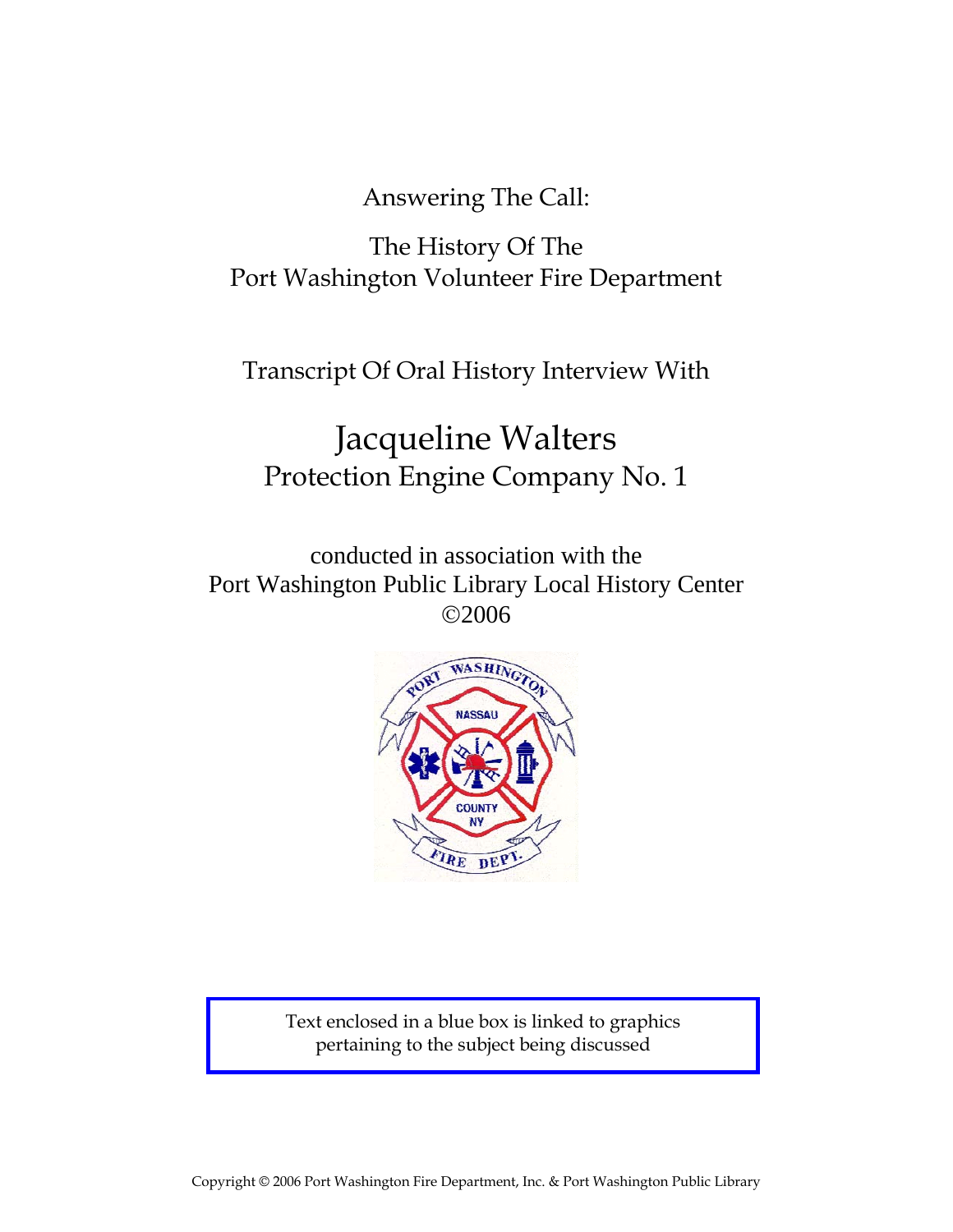Answering The Call:

## The History Of The Port Washington Volunteer Fire Department

Transcript Of Oral History Interview With

# Jacqueline Walters Protection Engine Company No. 1

conducted in association with the Port Washington Public Library Local History Center ©2006



Text enclosed in a blue box is linked to graphics pertaining to the subject being discussed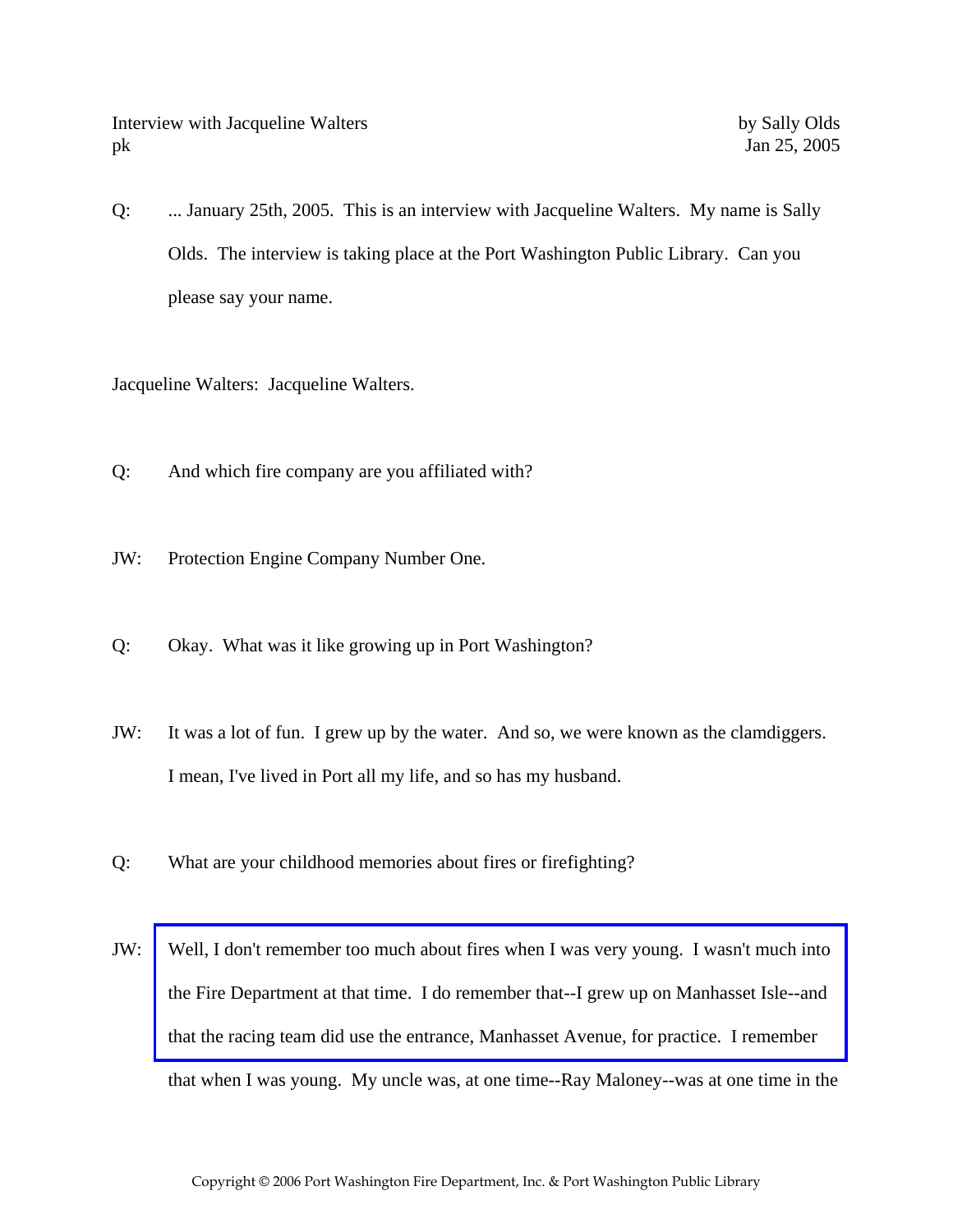Q: ... January 25th, 2005. This is an interview with Jacqueline Walters. My name is Sally Olds. The interview is taking place at the Port Washington Public Library. Can you please say your name.

Jacqueline Walters: Jacqueline Walters.

- Q: And which fire company are you affiliated with?
- JW: Protection Engine Company Number One.
- Q: Okay. What was it like growing up in Port Washington?
- JW: It was a lot of fun. I grew up by the water. And so, we were known as the clamdiggers. I mean, I've lived in Port all my life, and so has my husband.
- Q: What are your childhood memories about fires or firefighting?
- JW: [Well, I don't remember too much about fires when I was very young. I wasn't much into](http://www.pwfdhistory.com/trans/waltersjac_trans/fhh_racing004_web.jpg)  the Fire Department at that time. I do remember that--I grew up on Manhasset Isle--and that the racing team did use the entrance, Manhasset Avenue, for practice. I remember that when I was young. My uncle was, at one time--Ray Maloney--was at one time in the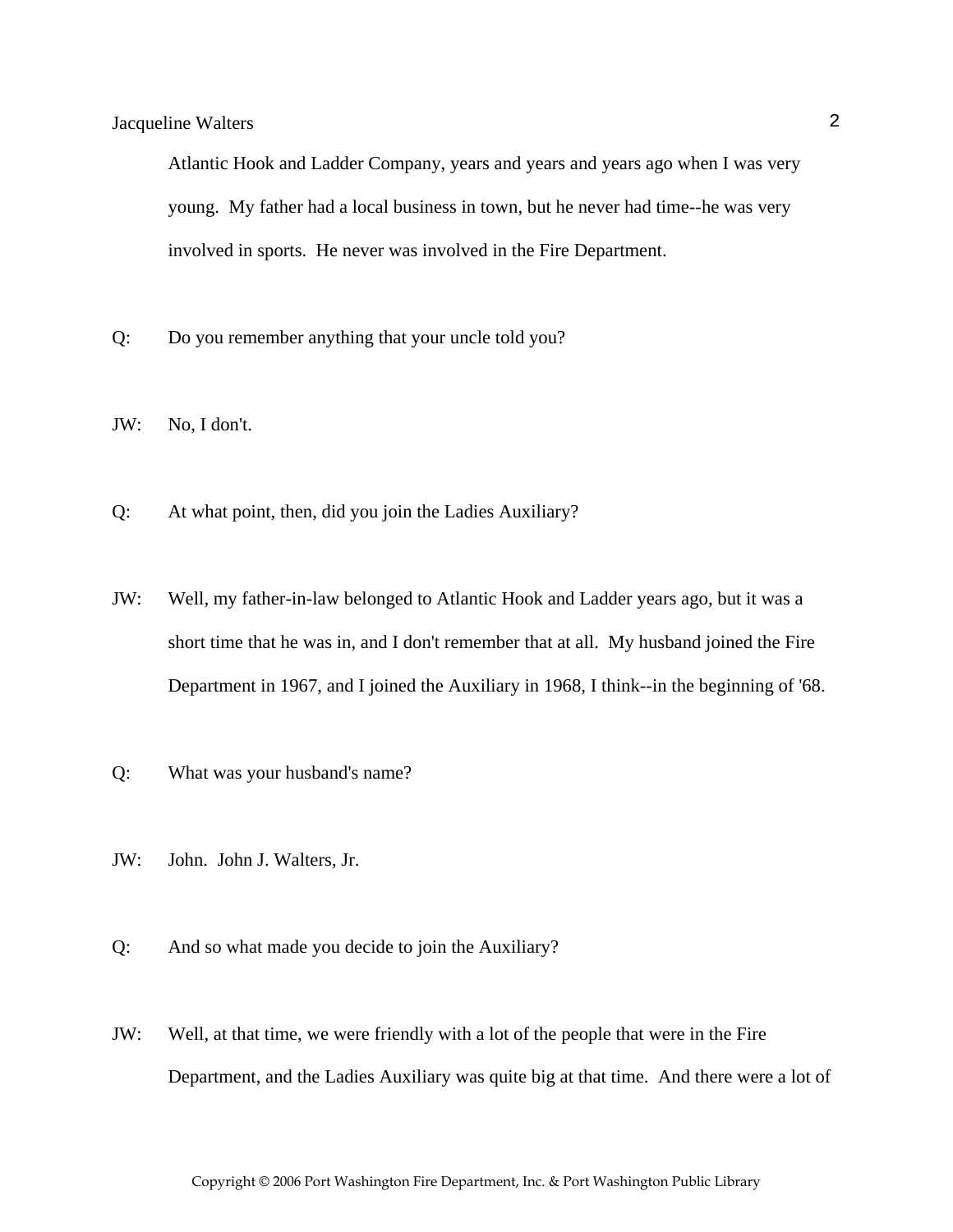Atlantic Hook and Ladder Company, years and years and years ago when I was very young. My father had a local business in town, but he never had time--he was very involved in sports. He never was involved in the Fire Department.

- Q: Do you remember anything that your uncle told you?
- JW: No, I don't.
- Q: At what point, then, did you join the Ladies Auxiliary?
- JW: Well, my father-in-law belonged to Atlantic Hook and Ladder years ago, but it was a short time that he was in, and I don't remember that at all. My husband joined the Fire Department in 1967, and I joined the Auxiliary in 1968, I think--in the beginning of '68.
- Q: What was your husband's name?
- JW: John. John J. Walters, Jr.
- Q: And so what made you decide to join the Auxiliary?
- JW: Well, at that time, we were friendly with a lot of the people that were in the Fire Department, and the Ladies Auxiliary was quite big at that time. And there were a lot of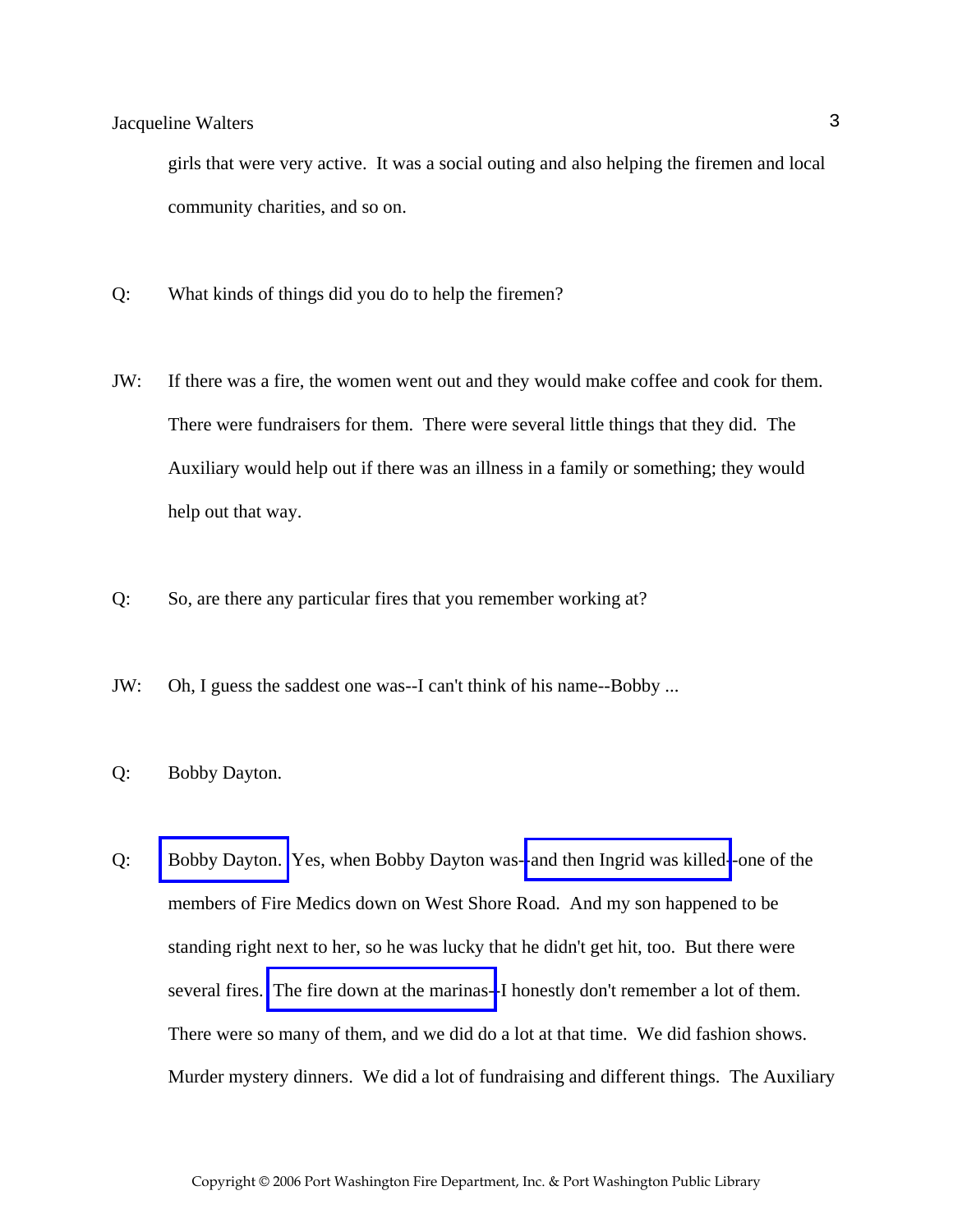girls that were very active. It was a social outing and also helping the firemen and local community charities, and so on.

- Q: What kinds of things did you do to help the firemen?
- JW: If there was a fire, the women went out and they would make coffee and cook for them. There were fundraisers for them. There were several little things that they did. The Auxiliary would help out if there was an illness in a family or something; they would help out that way.
- Q: So, are there any particular fires that you remember working at?
- JW: Oh, I guess the saddest one was--I can't think of his name--Bobby ...
- Q: Bobby Dayton.
- Q: [Bobby Dayton.](http://www.pwfdhistory.com/trans/waltersjac_trans/pnews881201_pz.pdf) Yes, when Bobby Dayton was-[-and then Ingrid was killed-](http://www.pwfdhistory.com/trans/waltersjac_trans/sowle_pz.pdf)-one of the members of Fire Medics down on West Shore Road. And my son happened to be standing right next to her, so he was lucky that he didn't get hit, too. But there were several fires. [The fire down at the marinas--](http://www.pwfdhistory.com/trans/waltersjac_trans/news_cocks_boatyardsx.pdf)I honestly don't remember a lot of them. There were so many of them, and we did do a lot at that time. We did fashion shows. Murder mystery dinners. We did a lot of fundraising and different things. The Auxiliary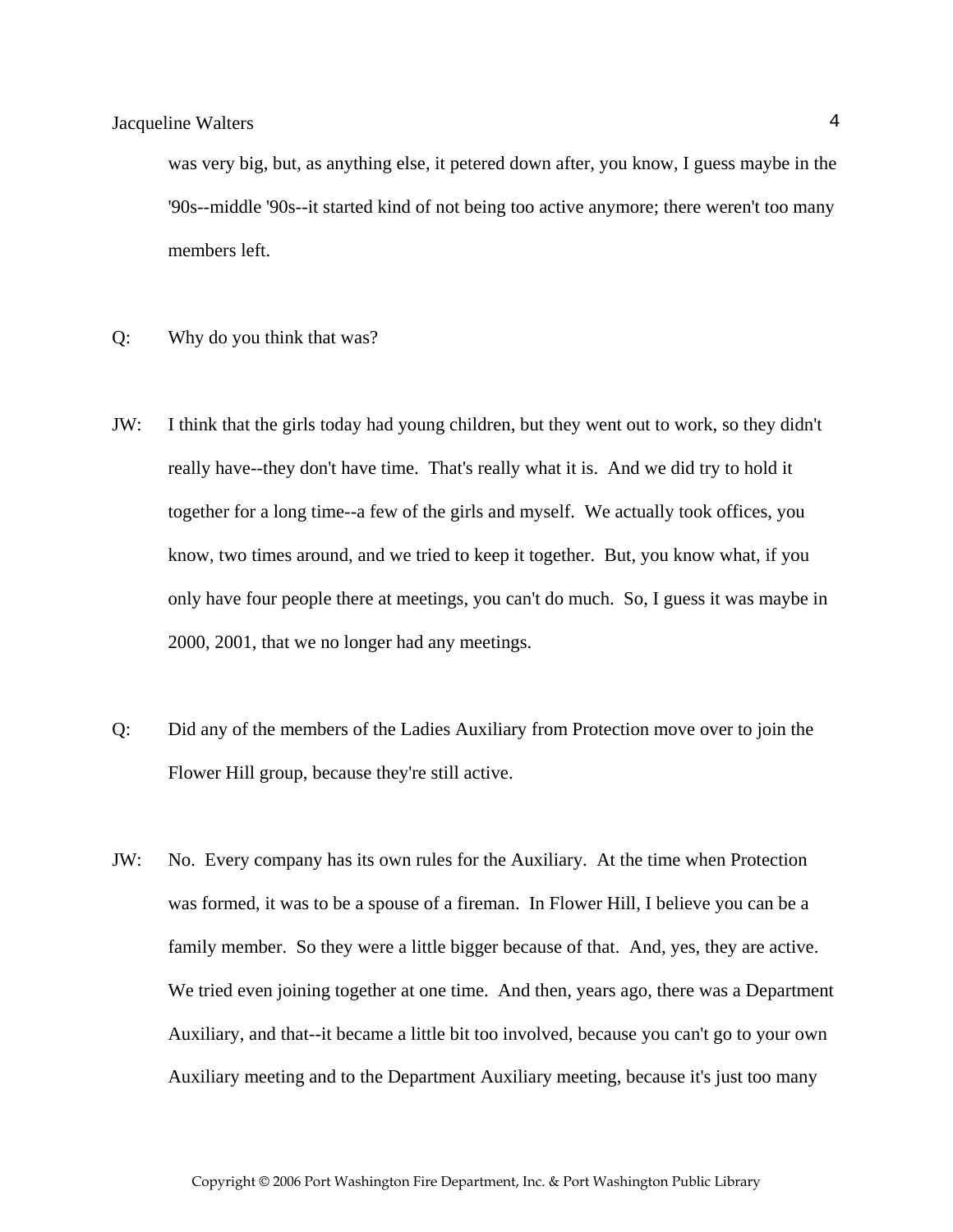was very big, but, as anything else, it petered down after, you know, I guess maybe in the '90s--middle '90s--it started kind of not being too active anymore; there weren't too many members left.

- Q: Why do you think that was?
- JW: I think that the girls today had young children, but they went out to work, so they didn't really have--they don't have time. That's really what it is. And we did try to hold it together for a long time--a few of the girls and myself. We actually took offices, you know, two times around, and we tried to keep it together. But, you know what, if you only have four people there at meetings, you can't do much. So, I guess it was maybe in 2000, 2001, that we no longer had any meetings.
- Q: Did any of the members of the Ladies Auxiliary from Protection move over to join the Flower Hill group, because they're still active.
- JW: No. Every company has its own rules for the Auxiliary. At the time when Protection was formed, it was to be a spouse of a fireman. In Flower Hill, I believe you can be a family member. So they were a little bigger because of that. And, yes, they are active. We tried even joining together at one time. And then, years ago, there was a Department Auxiliary, and that--it became a little bit too involved, because you can't go to your own Auxiliary meeting and to the Department Auxiliary meeting, because it's just too many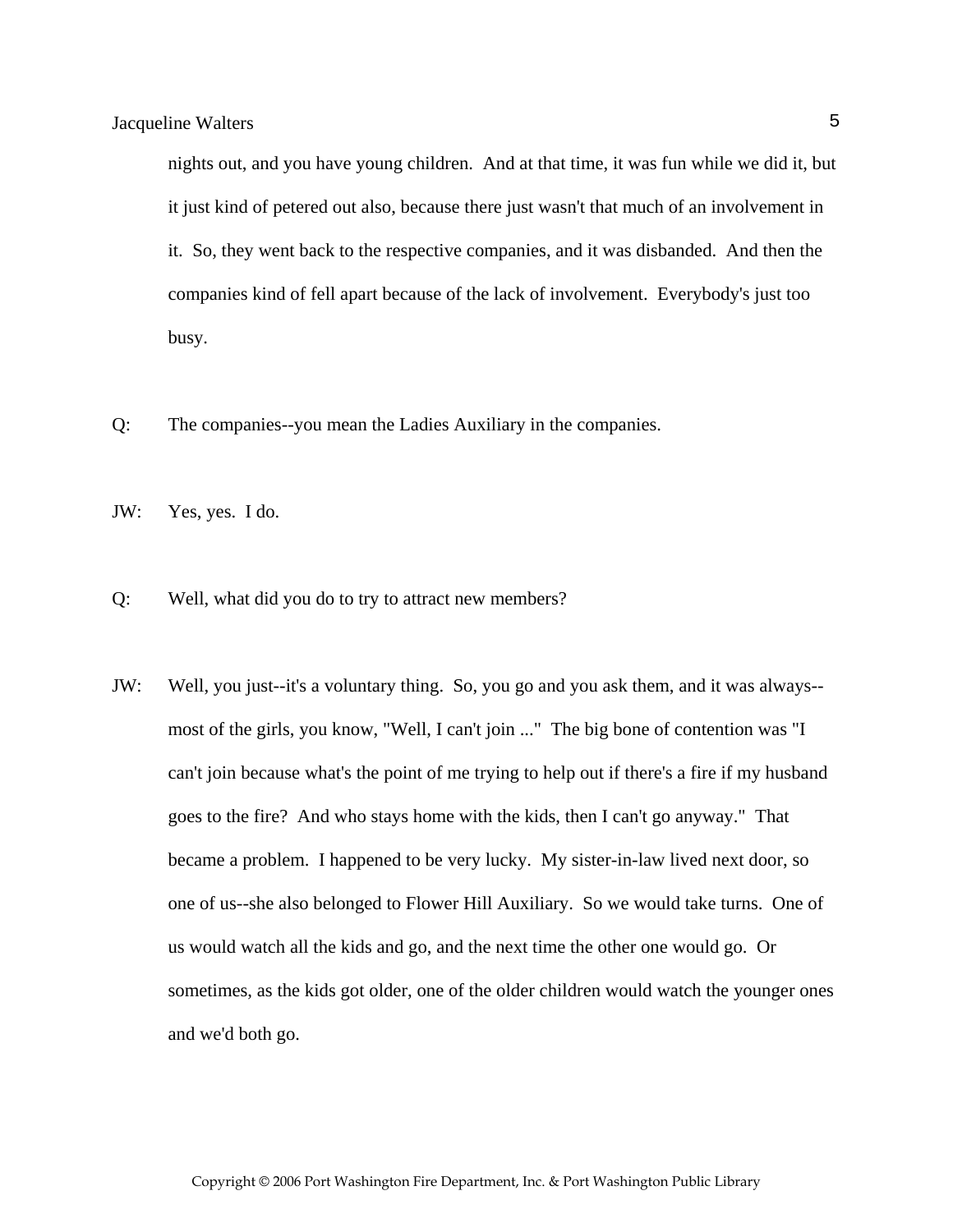nights out, and you have young children. And at that time, it was fun while we did it, but it just kind of petered out also, because there just wasn't that much of an involvement in it. So, they went back to the respective companies, and it was disbanded. And then the companies kind of fell apart because of the lack of involvement. Everybody's just too busy.

- Q: The companies--you mean the Ladies Auxiliary in the companies.
- JW: Yes, yes. I do.
- Q: Well, what did you do to try to attract new members?
- JW: Well, you just--it's a voluntary thing. So, you go and you ask them, and it was always- most of the girls, you know, "Well, I can't join ..." The big bone of contention was "I can't join because what's the point of me trying to help out if there's a fire if my husband goes to the fire? And who stays home with the kids, then I can't go anyway." That became a problem. I happened to be very lucky. My sister-in-law lived next door, so one of us--she also belonged to Flower Hill Auxiliary. So we would take turns. One of us would watch all the kids and go, and the next time the other one would go. Or sometimes, as the kids got older, one of the older children would watch the younger ones and we'd both go.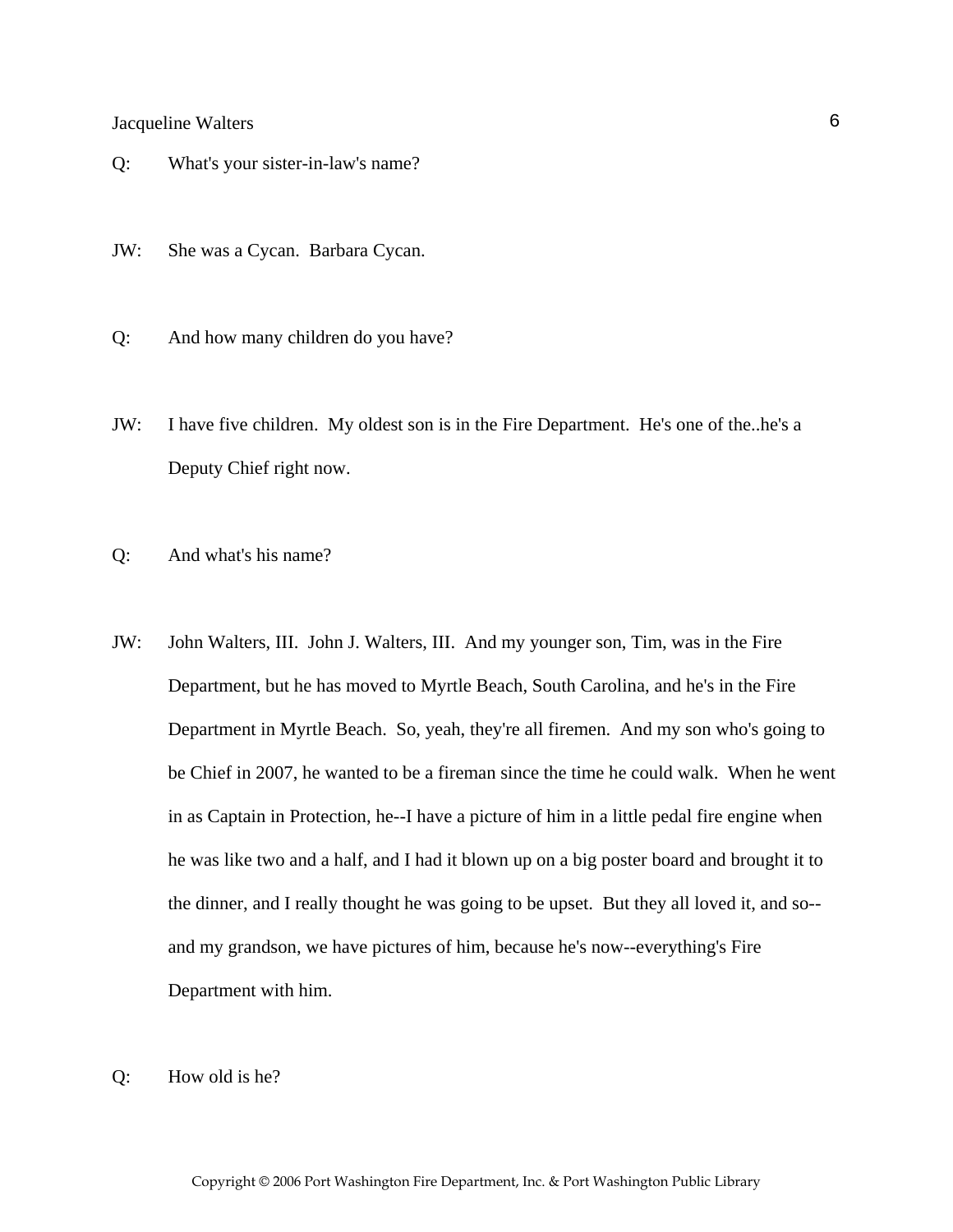- Q: What's your sister-in-law's name?
- JW: She was a Cycan. Barbara Cycan.
- Q: And how many children do you have?
- JW: I have five children. My oldest son is in the Fire Department. He's one of the..he's a Deputy Chief right now.
- Q: And what's his name?
- JW: John Walters, III. John J. Walters, III. And my younger son, Tim, was in the Fire Department, but he has moved to Myrtle Beach, South Carolina, and he's in the Fire Department in Myrtle Beach. So, yeah, they're all firemen. And my son who's going to be Chief in 2007, he wanted to be a fireman since the time he could walk. When he went in as Captain in Protection, he--I have a picture of him in a little pedal fire engine when he was like two and a half, and I had it blown up on a big poster board and brought it to the dinner, and I really thought he was going to be upset. But they all loved it, and so- and my grandson, we have pictures of him, because he's now--everything's Fire Department with him.
- Q: How old is he?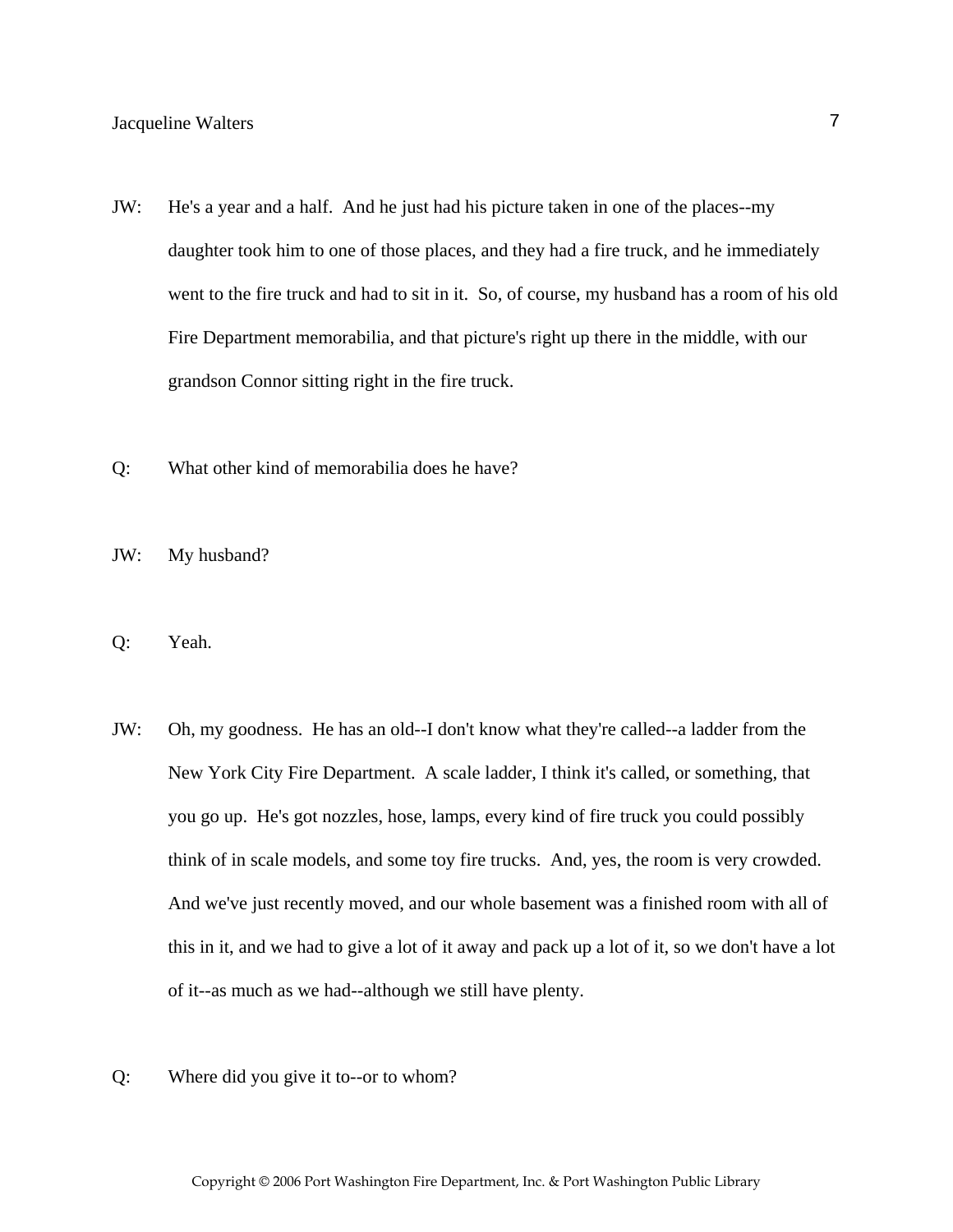- JW: He's a year and a half. And he just had his picture taken in one of the places--my daughter took him to one of those places, and they had a fire truck, and he immediately went to the fire truck and had to sit in it. So, of course, my husband has a room of his old Fire Department memorabilia, and that picture's right up there in the middle, with our grandson Connor sitting right in the fire truck.
- Q: What other kind of memorabilia does he have?
- JW: My husband?
- Q: Yeah.
- JW: Oh, my goodness. He has an old--I don't know what they're called--a ladder from the New York City Fire Department. A scale ladder, I think it's called, or something, that you go up. He's got nozzles, hose, lamps, every kind of fire truck you could possibly think of in scale models, and some toy fire trucks. And, yes, the room is very crowded. And we've just recently moved, and our whole basement was a finished room with all of this in it, and we had to give a lot of it away and pack up a lot of it, so we don't have a lot of it--as much as we had--although we still have plenty.
- Q: Where did you give it to--or to whom?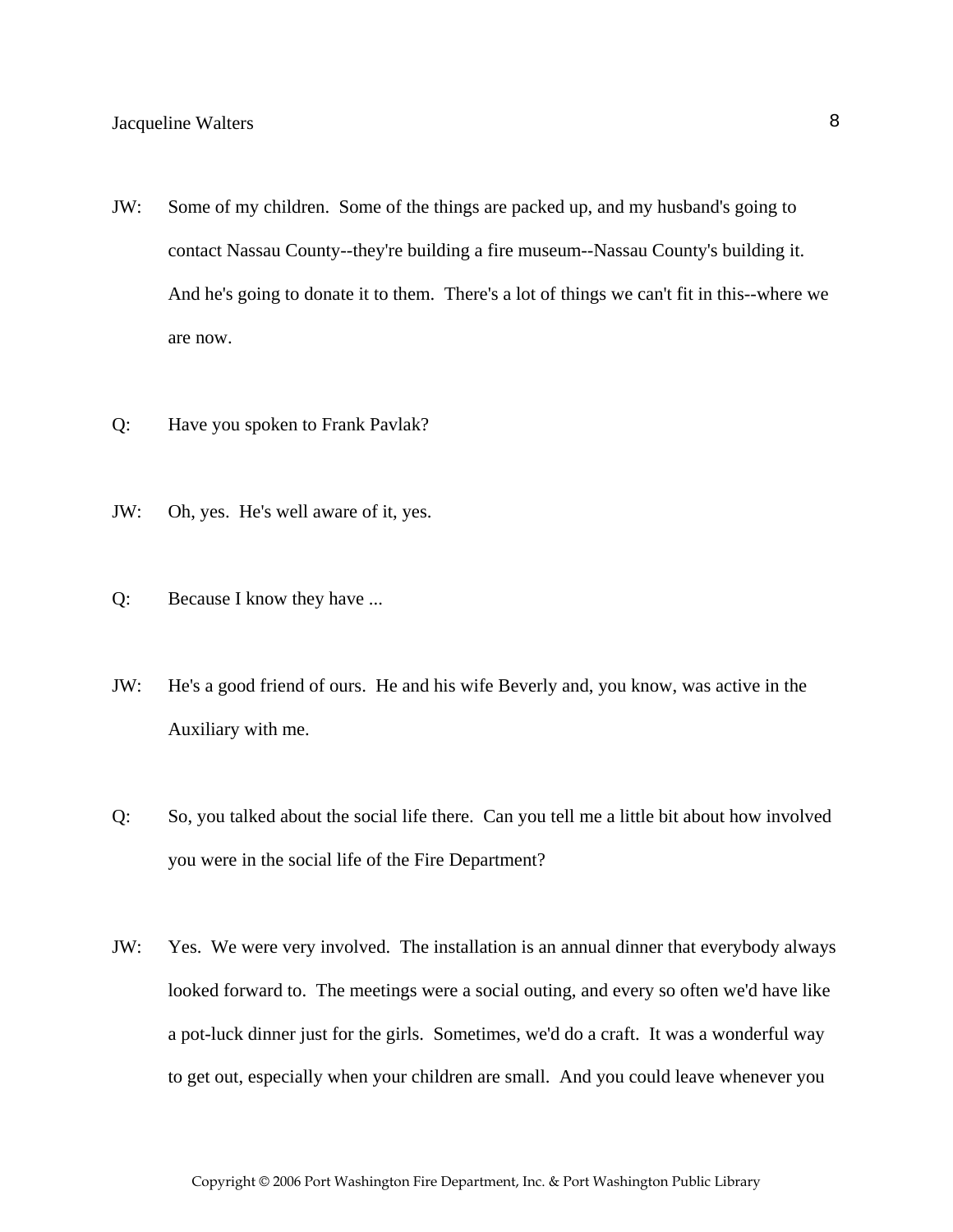- JW: Some of my children. Some of the things are packed up, and my husband's going to contact Nassau County--they're building a fire museum--Nassau County's building it. And he's going to donate it to them. There's a lot of things we can't fit in this--where we are now.
- Q: Have you spoken to Frank Pavlak?
- JW: Oh, yes. He's well aware of it, yes.
- Q: Because I know they have ...
- JW: He's a good friend of ours. He and his wife Beverly and, you know, was active in the Auxiliary with me.
- Q: So, you talked about the social life there. Can you tell me a little bit about how involved you were in the social life of the Fire Department?
- JW: Yes. We were very involved. The installation is an annual dinner that everybody always looked forward to. The meetings were a social outing, and every so often we'd have like a pot-luck dinner just for the girls. Sometimes, we'd do a craft. It was a wonderful way to get out, especially when your children are small. And you could leave whenever you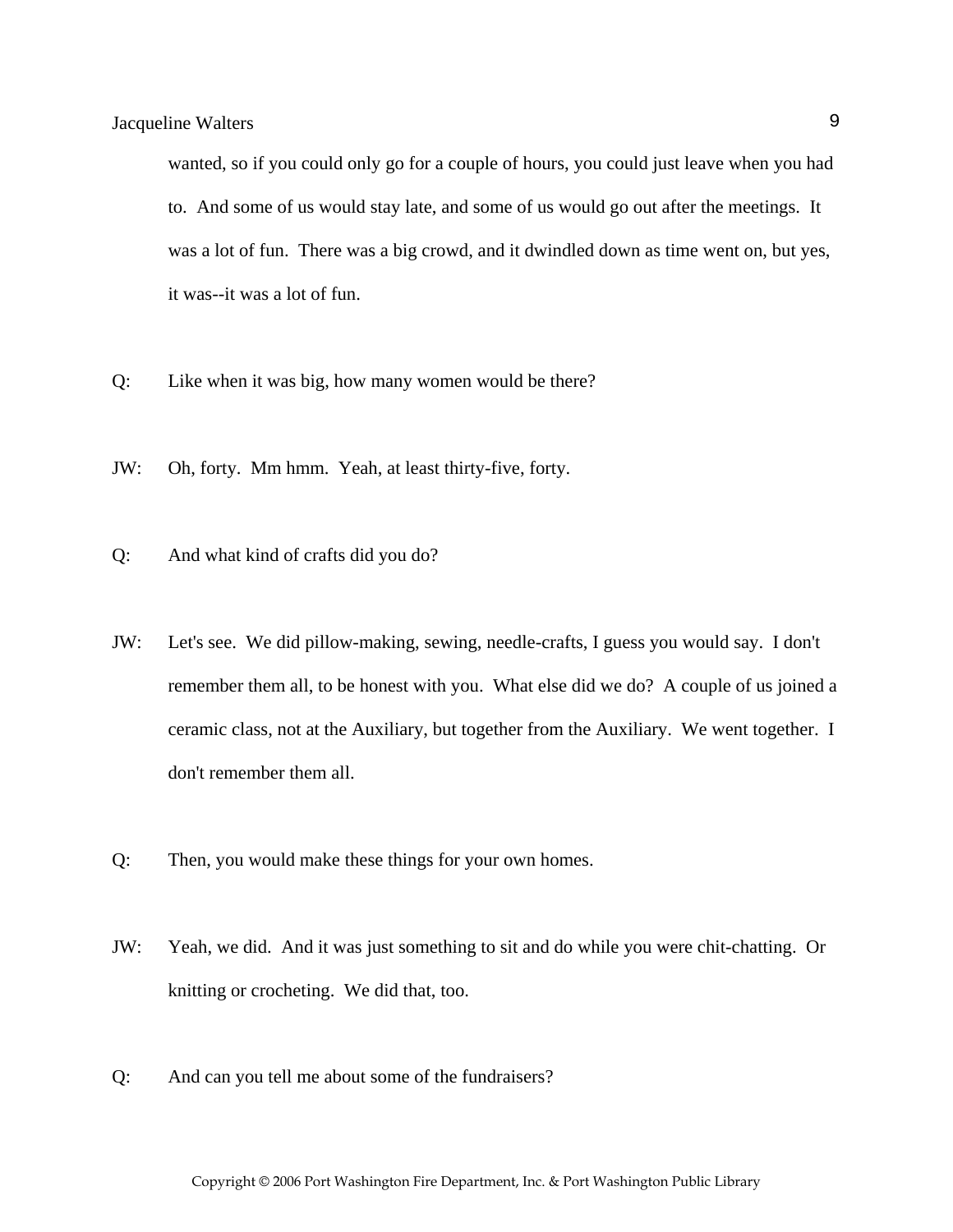wanted, so if you could only go for a couple of hours, you could just leave when you had to. And some of us would stay late, and some of us would go out after the meetings. It was a lot of fun. There was a big crowd, and it dwindled down as time went on, but yes, it was--it was a lot of fun.

- Q: Like when it was big, how many women would be there?
- JW: Oh, forty. Mm hmm. Yeah, at least thirty-five, forty.
- Q: And what kind of crafts did you do?
- JW: Let's see. We did pillow-making, sewing, needle-crafts, I guess you would say. I don't remember them all, to be honest with you. What else did we do? A couple of us joined a ceramic class, not at the Auxiliary, but together from the Auxiliary. We went together. I don't remember them all.
- Q: Then, you would make these things for your own homes.
- JW: Yeah, we did. And it was just something to sit and do while you were chit-chatting. Or knitting or crocheting. We did that, too.
- Q: And can you tell me about some of the fundraisers?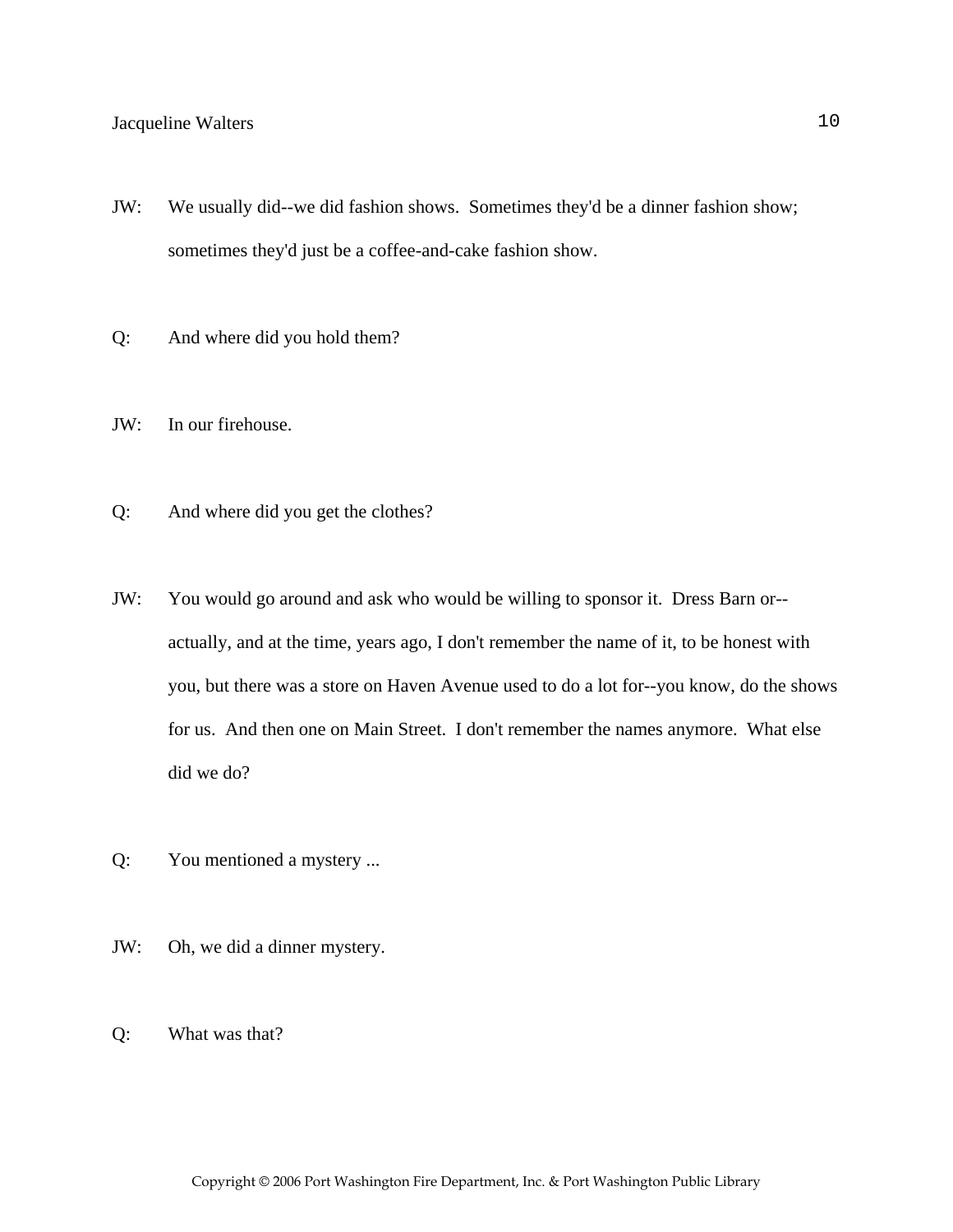- JW: We usually did--we did fashion shows. Sometimes they'd be a dinner fashion show; sometimes they'd just be a coffee-and-cake fashion show.
- Q: And where did you hold them?
- JW: In our firehouse.
- Q: And where did you get the clothes?
- JW: You would go around and ask who would be willing to sponsor it. Dress Barn or- actually, and at the time, years ago, I don't remember the name of it, to be honest with you, but there was a store on Haven Avenue used to do a lot for--you know, do the shows for us. And then one on Main Street. I don't remember the names anymore. What else did we do?
- Q: You mentioned a mystery ...
- JW: Oh, we did a dinner mystery.
- Q: What was that?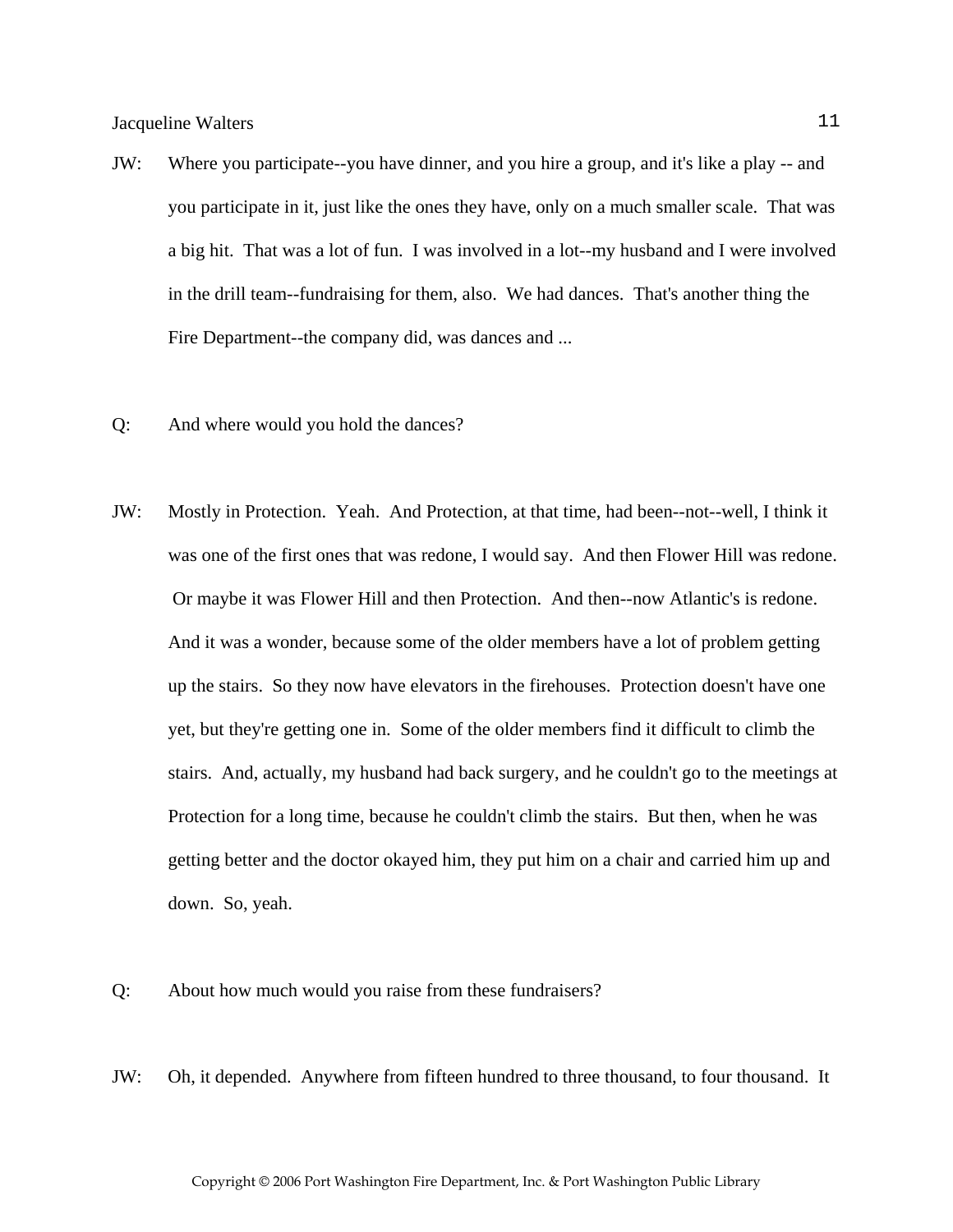- JW: Where you participate--you have dinner, and you hire a group, and it's like a play -- and you participate in it, just like the ones they have, only on a much smaller scale. That was a big hit. That was a lot of fun. I was involved in a lot--my husband and I were involved in the drill team--fundraising for them, also. We had dances. That's another thing the Fire Department--the company did, was dances and ...
- Q: And where would you hold the dances?
- JW: Mostly in Protection. Yeah. And Protection, at that time, had been--not--well, I think it was one of the first ones that was redone, I would say. And then Flower Hill was redone. Or maybe it was Flower Hill and then Protection. And then--now Atlantic's is redone. And it was a wonder, because some of the older members have a lot of problem getting up the stairs. So they now have elevators in the firehouses. Protection doesn't have one yet, but they're getting one in. Some of the older members find it difficult to climb the stairs. And, actually, my husband had back surgery, and he couldn't go to the meetings at Protection for a long time, because he couldn't climb the stairs. But then, when he was getting better and the doctor okayed him, they put him on a chair and carried him up and down. So, yeah.
- Q: About how much would you raise from these fundraisers?
- JW: Oh, it depended. Anywhere from fifteen hundred to three thousand, to four thousand. It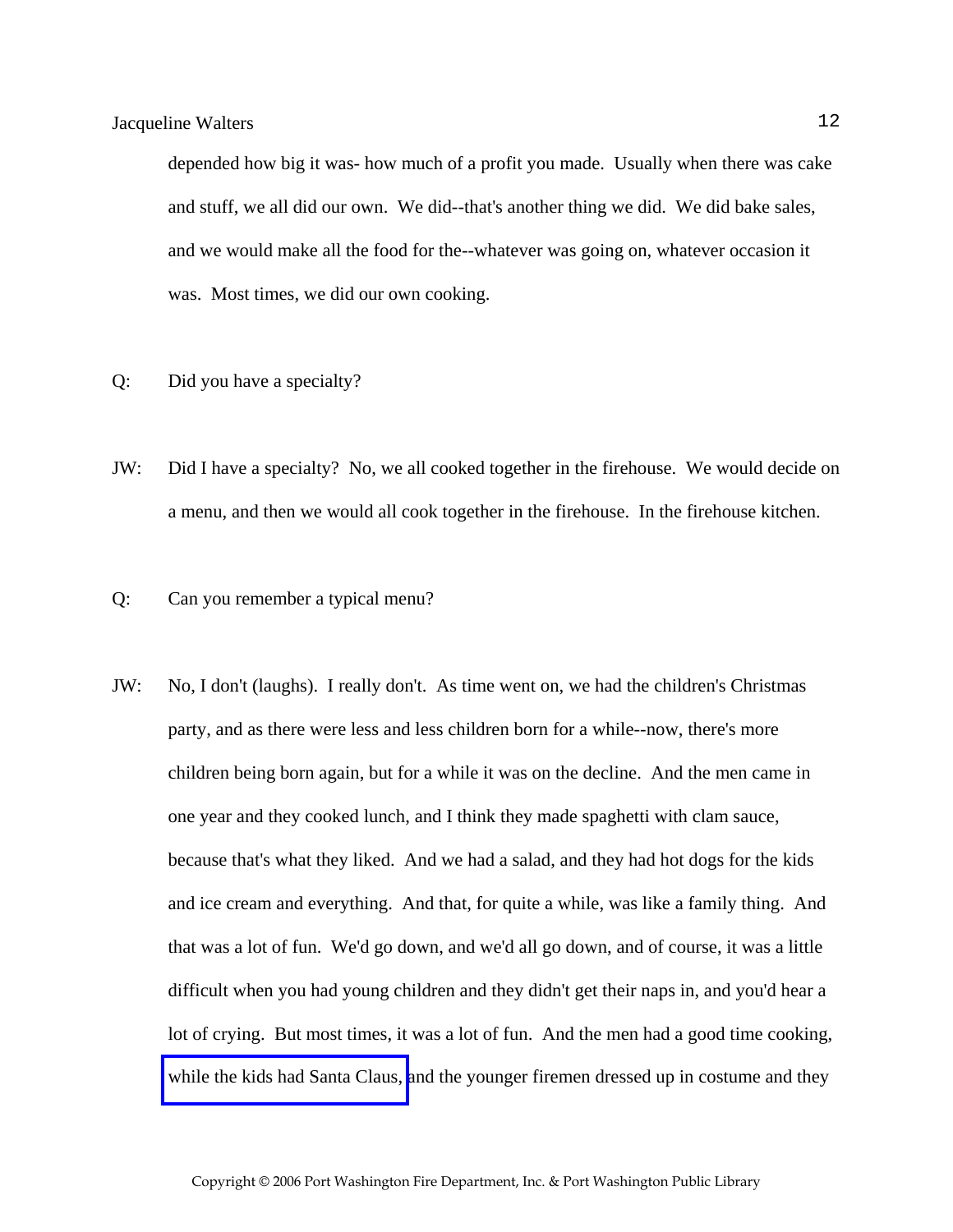depended how big it was- how much of a profit you made. Usually when there was cake and stuff, we all did our own. We did--that's another thing we did. We did bake sales, and we would make all the food for the--whatever was going on, whatever occasion it was. Most times, we did our own cooking.

- Q: Did you have a specialty?
- JW: Did I have a specialty? No, we all cooked together in the firehouse. We would decide on a menu, and then we would all cook together in the firehouse. In the firehouse kitchen.
- Q: Can you remember a typical menu?
- JW: No, I don't (laughs). I really don't. As time went on, we had the children's Christmas party, and as there were less and less children born for a while--now, there's more children being born again, but for a while it was on the decline. And the men came in one year and they cooked lunch, and I think they made spaghetti with clam sauce, because that's what they liked. And we had a salad, and they had hot dogs for the kids and ice cream and everything. And that, for quite a while, was like a family thing. And that was a lot of fun. We'd go down, and we'd all go down, and of course, it was a little difficult when you had young children and they didn't get their naps in, and you'd hear a lot of crying. But most times, it was a lot of fun. And the men had a good time cooking, [while the kids had Santa Claus, a](http://www.pwfdhistory.com/trans/waltersjac_trans/peco_members039_web.jpg)nd the younger firemen dressed up in costume and they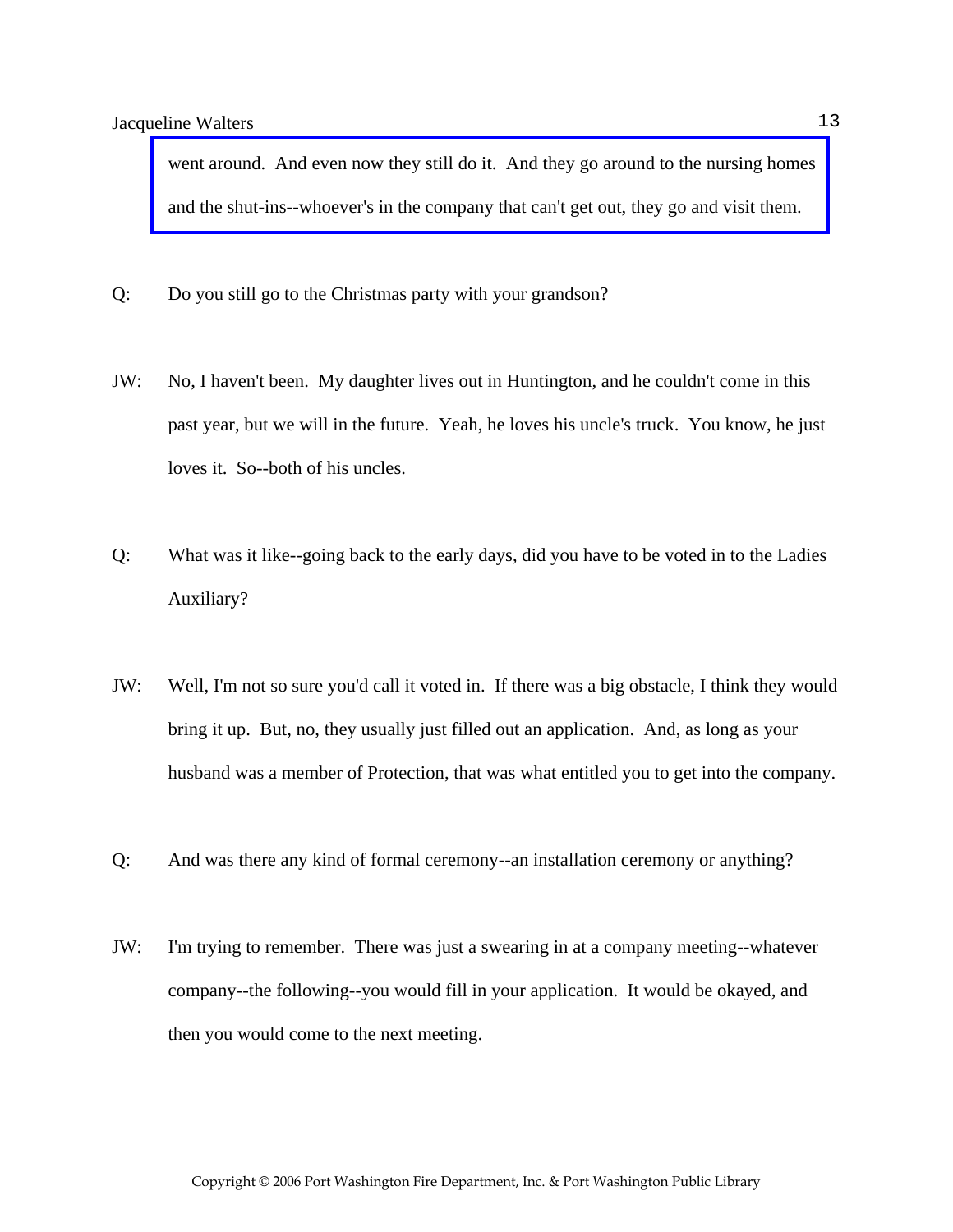[went around. And even now they still do it. And they go around to the nursing homes](http://www.pwfdhistory.com/trans/waltersjac_trans/ahlco_members14_web.jpg)  and the shut-ins--whoever's in the company that can't get out, they go and visit them.

- Q: Do you still go to the Christmas party with your grandson?
- JW: No, I haven't been. My daughter lives out in Huntington, and he couldn't come in this past year, but we will in the future. Yeah, he loves his uncle's truck. You know, he just loves it. So--both of his uncles.
- Q: What was it like--going back to the early days, did you have to be voted in to the Ladies Auxiliary?
- JW: Well, I'm not so sure you'd call it voted in. If there was a big obstacle, I think they would bring it up. But, no, they usually just filled out an application. And, as long as your husband was a member of Protection, that was what entitled you to get into the company.
- Q: And was there any kind of formal ceremony--an installation ceremony or anything?
- JW: I'm trying to remember. There was just a swearing in at a company meeting--whatever company--the following--you would fill in your application. It would be okayed, and then you would come to the next meeting.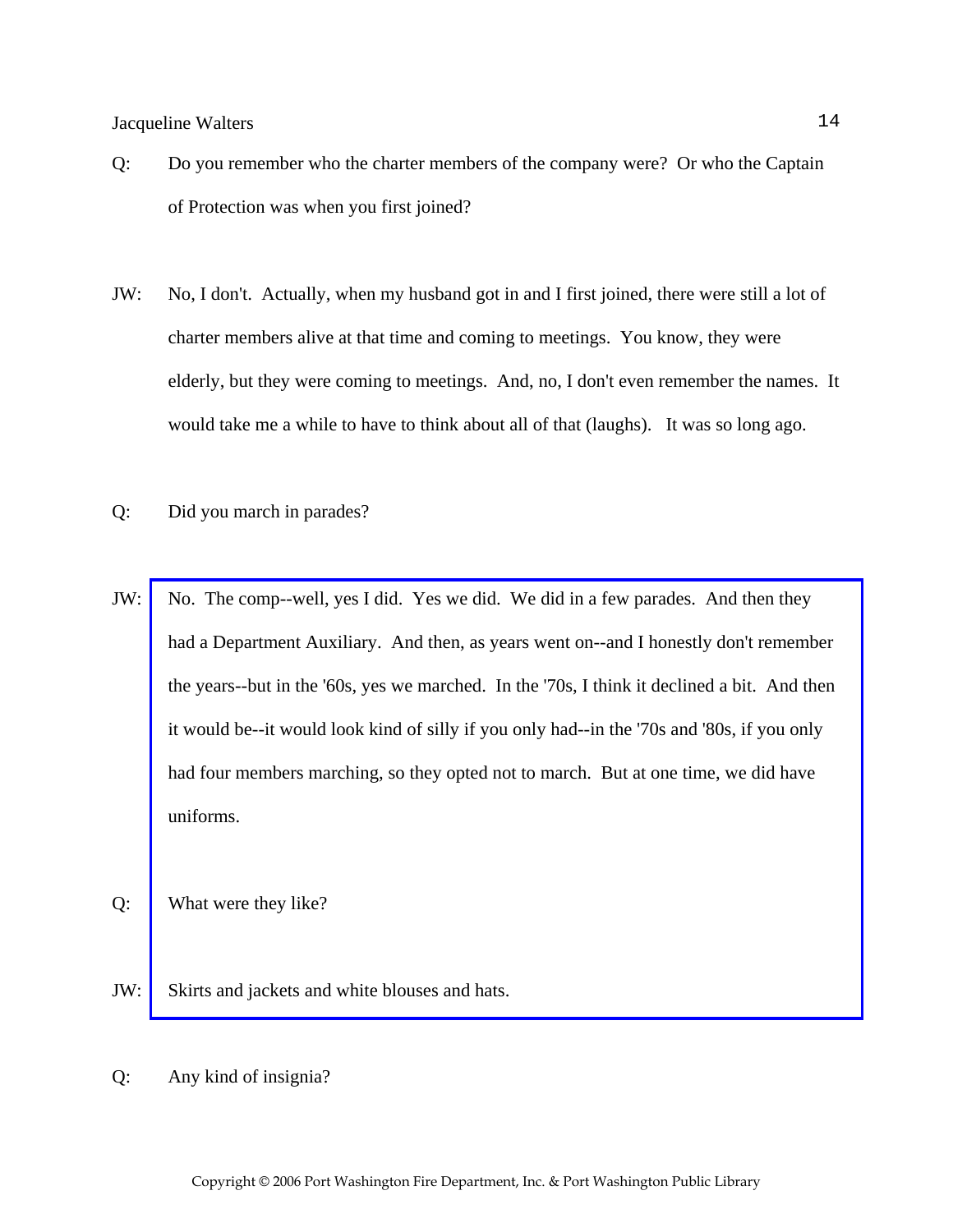- Q: Do you remember who the charter members of the company were? Or who the Captain of Protection was when you first joined?
- JW: No, I don't. Actually, when my husband got in and I first joined, there were still a lot of charter members alive at that time and coming to meetings. You know, they were elderly, but they were coming to meetings. And, no, I don't even remember the names. It would take me a while to have to think about all of that (laughs). It was so long ago.
- Q: Did you march in parades?
- JW: No. The comp--well, yes I did. Yes we did. We did in a few parades. And then they had a Department Auxiliary. And then, as years went on--and I honestly don't remember [the years--but in the '60s, yes we marched. In the '70s, I think it declined a bit. And then](http://www.pwfdhistory.com/trans/waltersjac_trans/peco_parades011_web.jpg)  it would be--it would look kind of silly if you only had--in the '70s and '80s, if you only had four members marching, so they opted not to march. But at one time, we did have uniforms.
- Q: What were they like?
- JW: Skirts and jackets and white blouses and hats.
- Q: Any kind of insignia?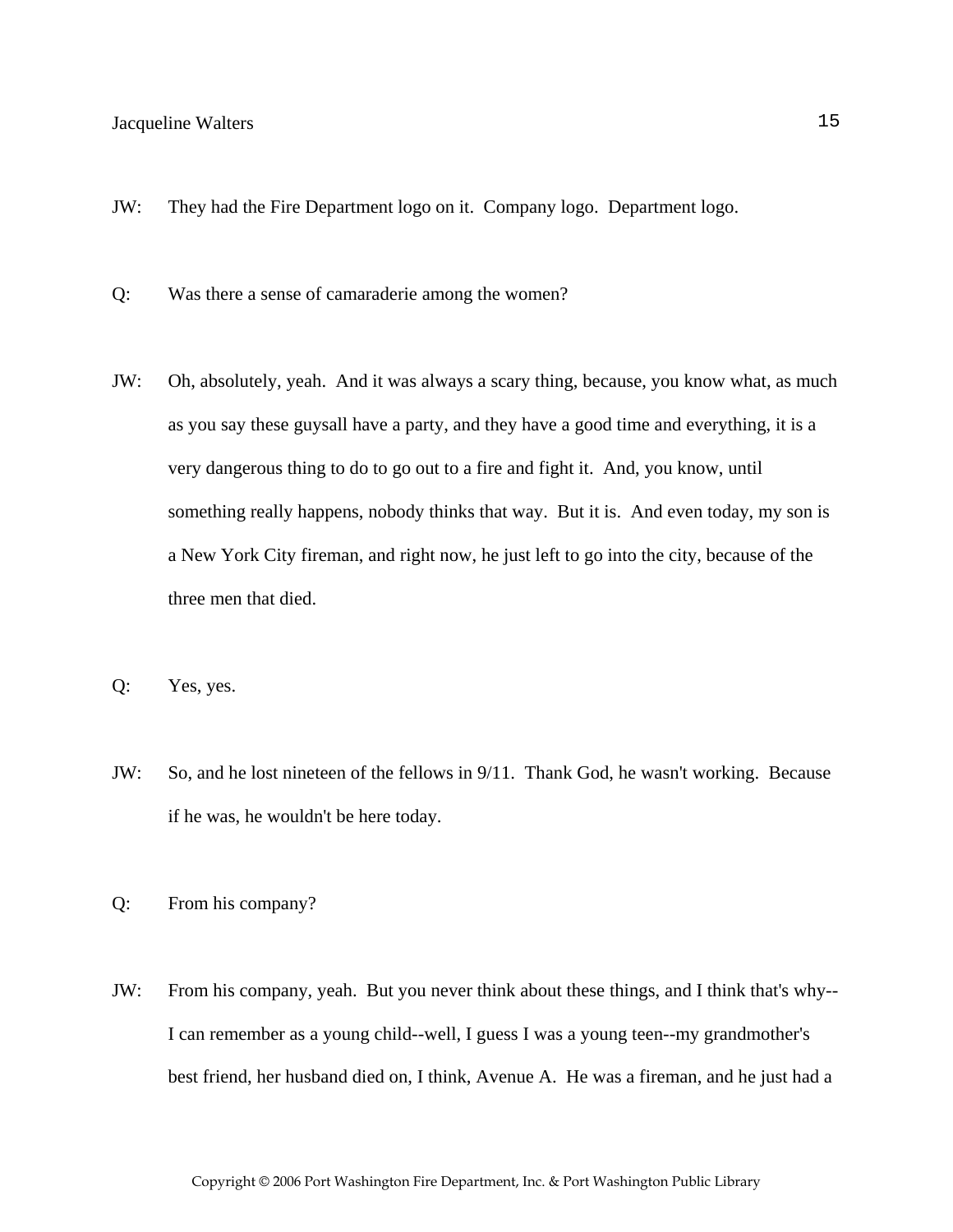- JW: They had the Fire Department logo on it. Company logo. Department logo.
- Q: Was there a sense of camaraderie among the women?
- JW: Oh, absolutely, yeah. And it was always a scary thing, because, you know what, as much as you say these guysall have a party, and they have a good time and everything, it is a very dangerous thing to do to go out to a fire and fight it. And, you know, until something really happens, nobody thinks that way. But it is. And even today, my son is a New York City fireman, and right now, he just left to go into the city, because of the three men that died.
- Q: Yes, yes.
- JW: So, and he lost nineteen of the fellows in 9/11. Thank God, he wasn't working. Because if he was, he wouldn't be here today.
- Q: From his company?
- JW: From his company, yeah. But you never think about these things, and I think that's why-- I can remember as a young child--well, I guess I was a young teen--my grandmother's best friend, her husband died on, I think, Avenue A. He was a fireman, and he just had a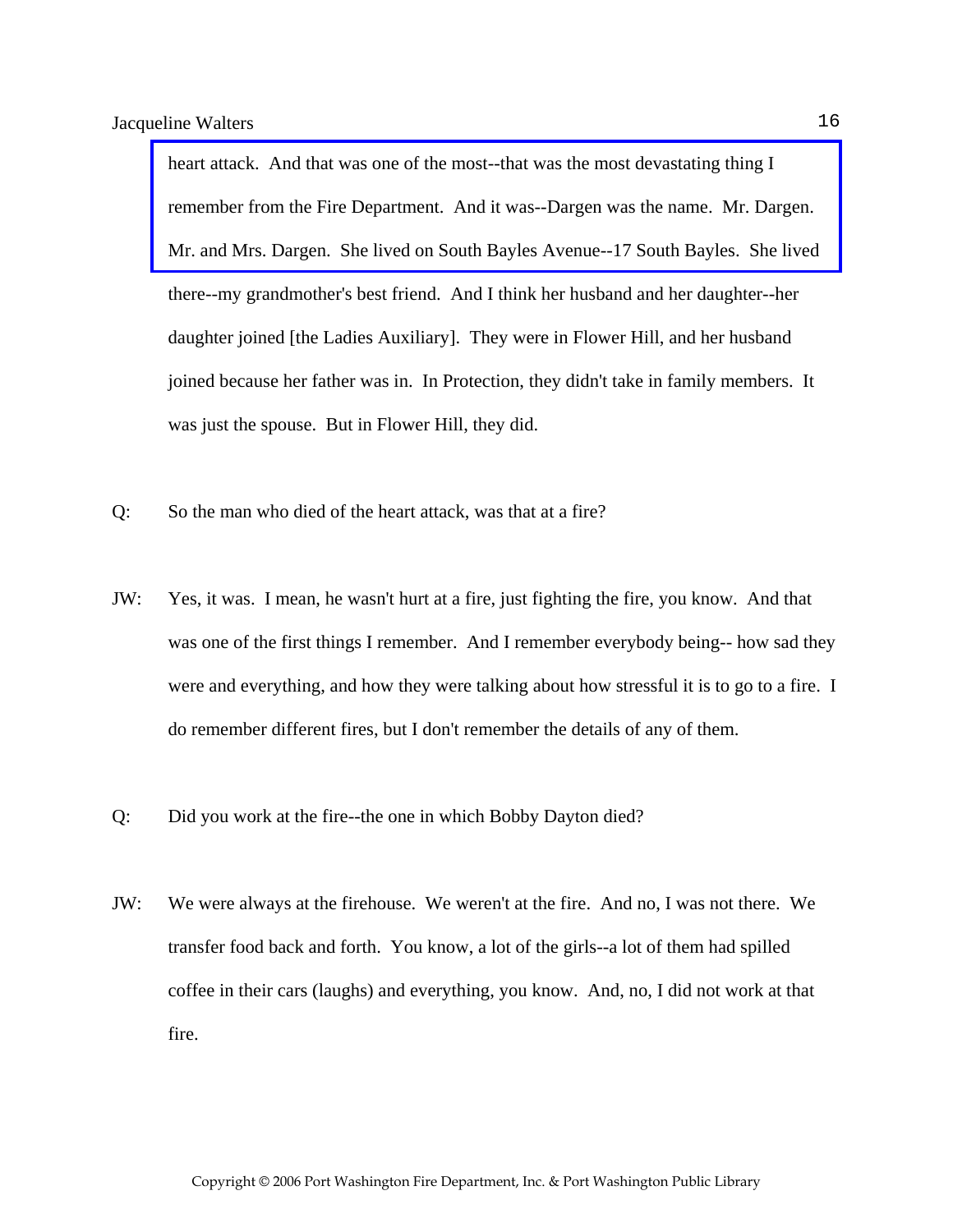heart attack. And that was one of the most--that was the most devastating thing I remember from the Fire Department. And it was--Dargen was the name. Mr. Dargen. [Mr. and Mrs. Dargen. She lived on South Bayles Avenue--17 South Bayles. She lived](http://www.pwfdhistory.com/trans/waltersjac_trans/pwfd_news058.pdf)  there--my grandmother's best friend. And I think her husband and her daughter--her daughter joined [the Ladies Auxiliary]. They were in Flower Hill, and her husband joined because her father was in. In Protection, they didn't take in family members. It was just the spouse. But in Flower Hill, they did.

- Q: So the man who died of the heart attack, was that at a fire?
- JW: Yes, it was. I mean, he wasn't hurt at a fire, just fighting the fire, you know. And that was one of the first things I remember. And I remember everybody being-- how sad they were and everything, and how they were talking about how stressful it is to go to a fire. I do remember different fires, but I don't remember the details of any of them.
- Q: Did you work at the fire--the one in which Bobby Dayton died?
- JW: We were always at the firehouse. We weren't at the fire. And no, I was not there. We transfer food back and forth. You know, a lot of the girls--a lot of them had spilled coffee in their cars (laughs) and everything, you know. And, no, I did not work at that fire.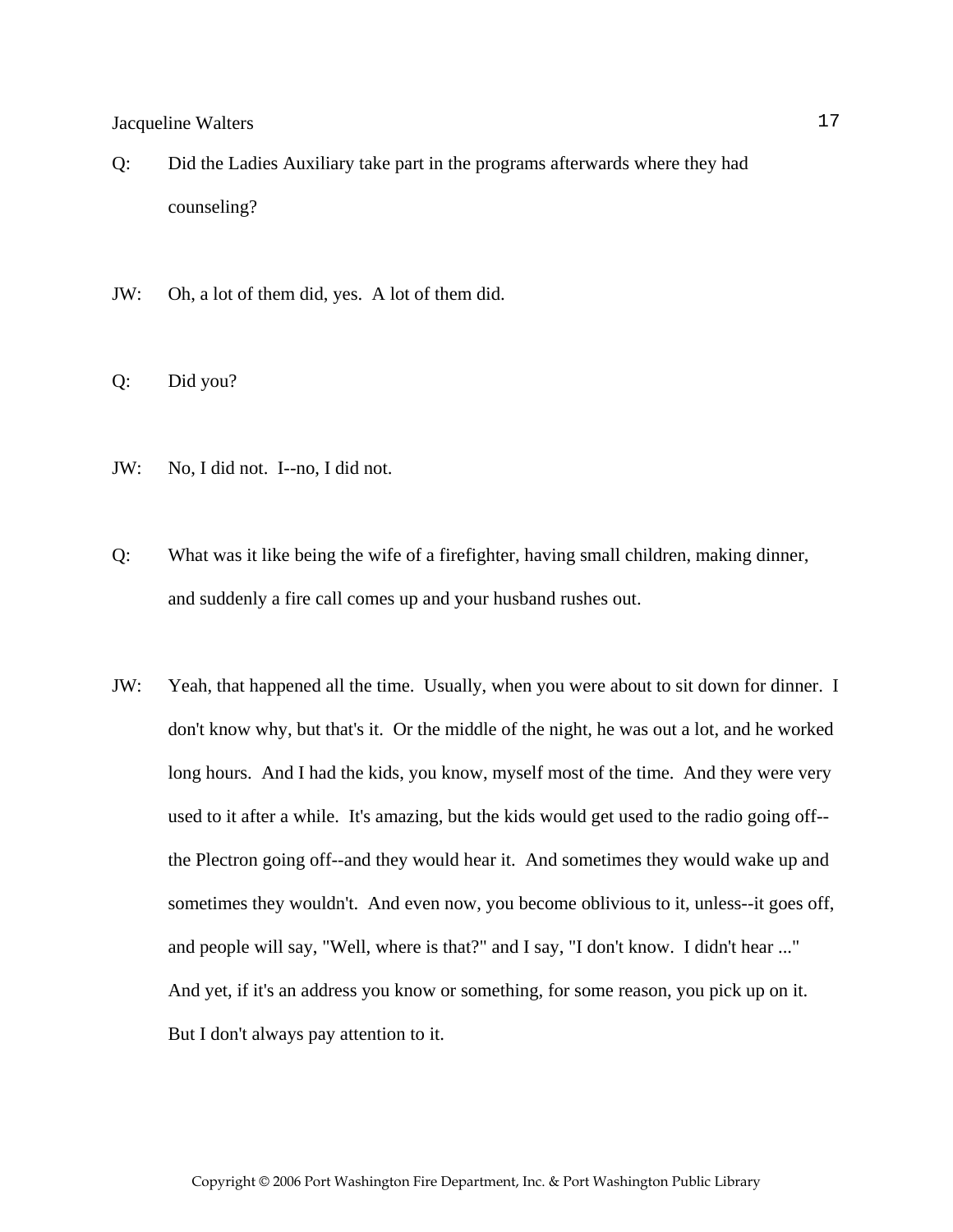- Q: Did the Ladies Auxiliary take part in the programs afterwards where they had counseling?
- JW: Oh, a lot of them did, yes. A lot of them did.
- Q: Did you?
- JW: No, I did not. I--no, I did not.
- Q: What was it like being the wife of a firefighter, having small children, making dinner, and suddenly a fire call comes up and your husband rushes out.
- JW: Yeah, that happened all the time. Usually, when you were about to sit down for dinner. I don't know why, but that's it. Or the middle of the night, he was out a lot, and he worked long hours. And I had the kids, you know, myself most of the time. And they were very used to it after a while. It's amazing, but the kids would get used to the radio going off- the Plectron going off--and they would hear it. And sometimes they would wake up and sometimes they wouldn't. And even now, you become oblivious to it, unless--it goes off, and people will say, "Well, where is that?" and I say, "I don't know. I didn't hear ..." And yet, if it's an address you know or something, for some reason, you pick up on it. But I don't always pay attention to it.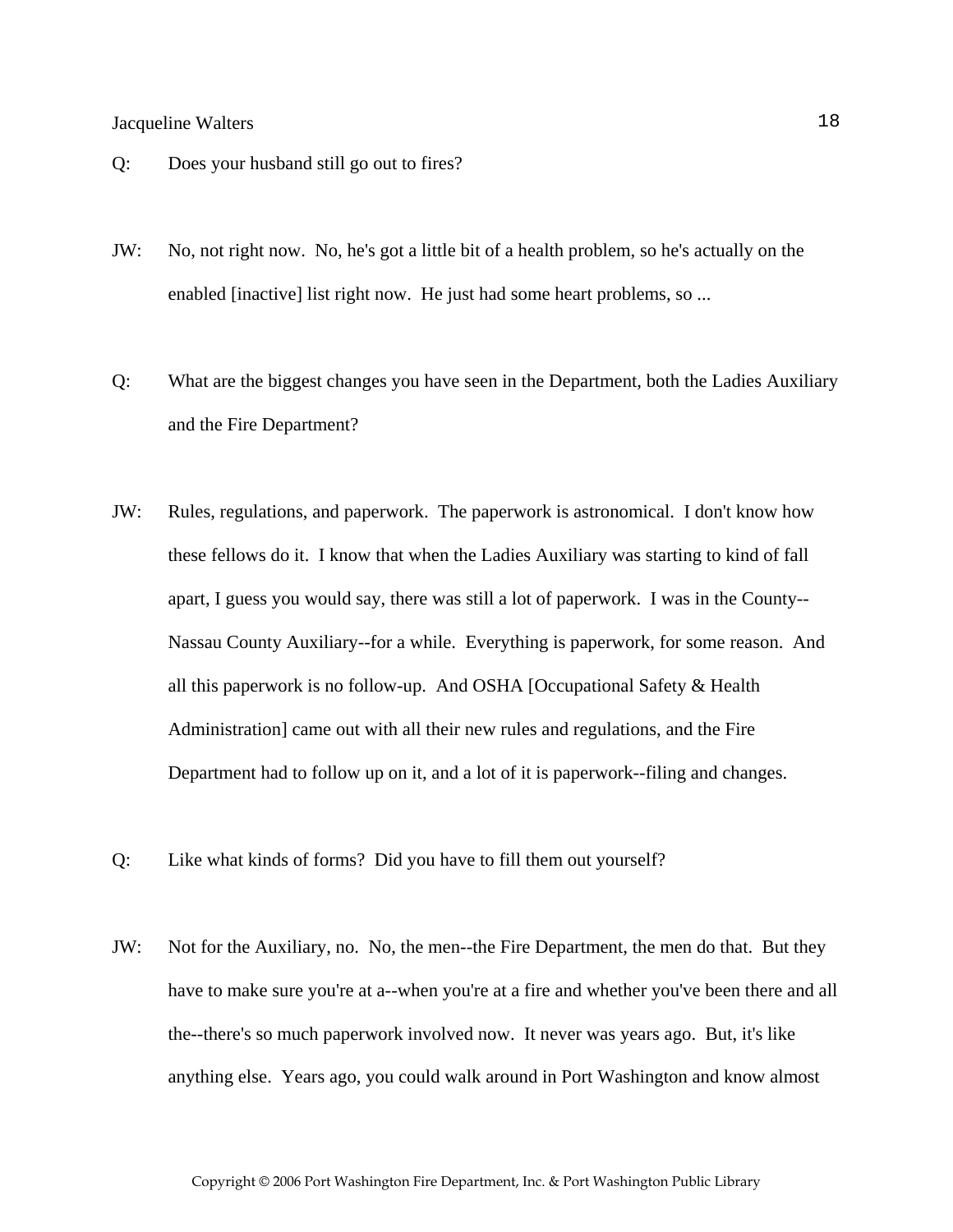- Q: Does your husband still go out to fires?
- JW: No, not right now. No, he's got a little bit of a health problem, so he's actually on the enabled [inactive] list right now. He just had some heart problems, so ...
- Q: What are the biggest changes you have seen in the Department, both the Ladies Auxiliary and the Fire Department?
- JW: Rules, regulations, and paperwork. The paperwork is astronomical. I don't know how these fellows do it. I know that when the Ladies Auxiliary was starting to kind of fall apart, I guess you would say, there was still a lot of paperwork. I was in the County-- Nassau County Auxiliary--for a while. Everything is paperwork, for some reason. And all this paperwork is no follow-up. And OSHA [Occupational Safety & Health Administration] came out with all their new rules and regulations, and the Fire Department had to follow up on it, and a lot of it is paperwork--filing and changes.
- Q: Like what kinds of forms? Did you have to fill them out yourself?
- JW: Not for the Auxiliary, no. No, the men--the Fire Department, the men do that. But they have to make sure you're at a--when you're at a fire and whether you've been there and all the--there's so much paperwork involved now. It never was years ago. But, it's like anything else. Years ago, you could walk around in Port Washington and know almost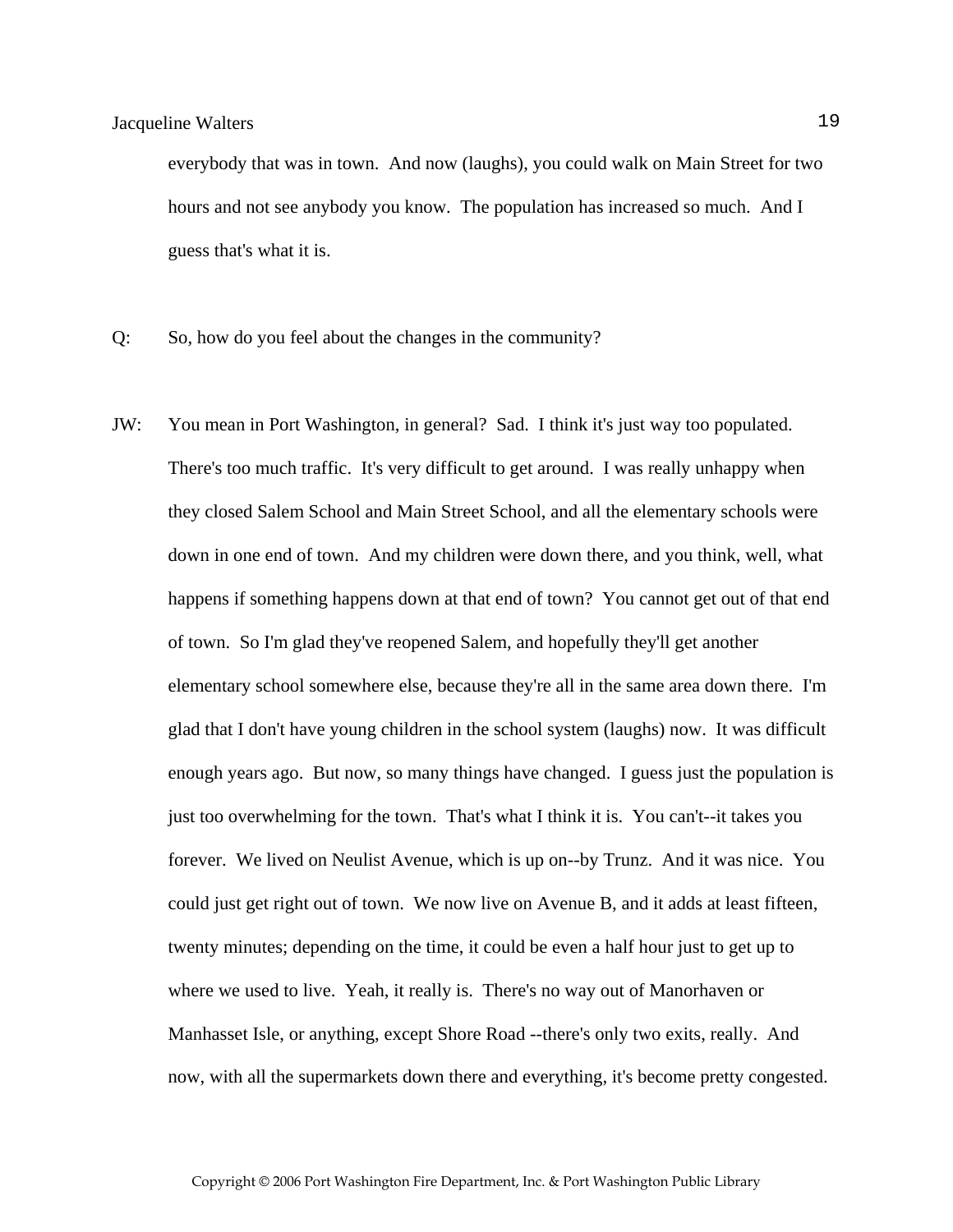everybody that was in town. And now (laughs), you could walk on Main Street for two hours and not see anybody you know. The population has increased so much. And I guess that's what it is.

- Q: So, how do you feel about the changes in the community?
- JW: You mean in Port Washington, in general? Sad. I think it's just way too populated. There's too much traffic. It's very difficult to get around. I was really unhappy when they closed Salem School and Main Street School, and all the elementary schools were down in one end of town. And my children were down there, and you think, well, what happens if something happens down at that end of town? You cannot get out of that end of town. So I'm glad they've reopened Salem, and hopefully they'll get another elementary school somewhere else, because they're all in the same area down there. I'm glad that I don't have young children in the school system (laughs) now. It was difficult enough years ago. But now, so many things have changed. I guess just the population is just too overwhelming for the town. That's what I think it is. You can't--it takes you forever. We lived on Neulist Avenue, which is up on--by Trunz. And it was nice. You could just get right out of town. We now live on Avenue B, and it adds at least fifteen, twenty minutes; depending on the time, it could be even a half hour just to get up to where we used to live. Yeah, it really is. There's no way out of Manorhaven or Manhasset Isle, or anything, except Shore Road --there's only two exits, really. And now, with all the supermarkets down there and everything, it's become pretty congested.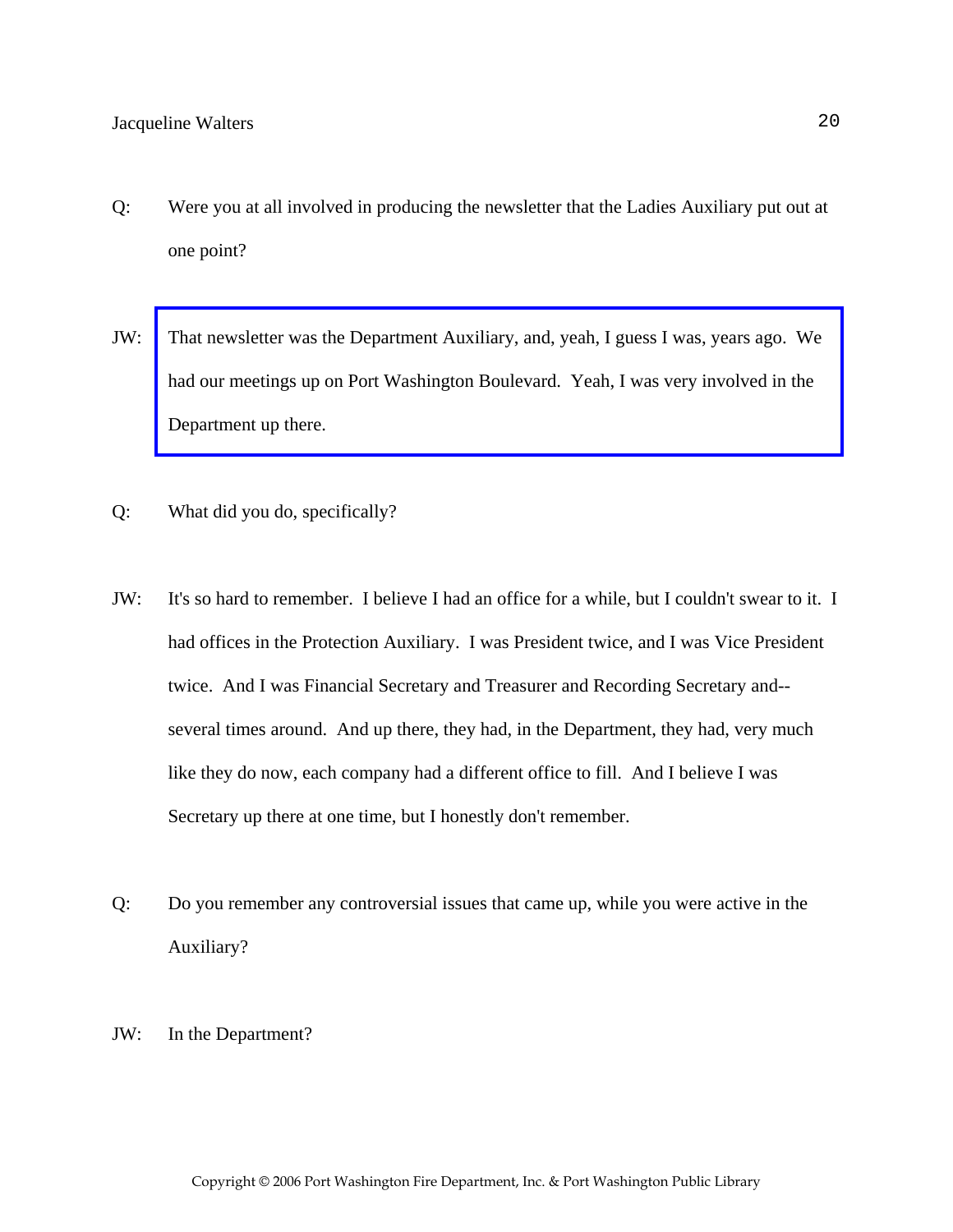- Q: Were you at all involved in producing the newsletter that the Ladies Auxiliary put out at one point?
- JW: [That newsletter was the Department Auxiliary, and, yeah, I guess I was, years ago. We](http://www.pwfdhistory.com/trans/waltersjac_trans/pwfd_aux001_web.jpg)  had our meetings up on Port Washington Boulevard. Yeah, I was very involved in the Department up there.
- Q: What did you do, specifically?
- JW: It's so hard to remember. I believe I had an office for a while, but I couldn't swear to it. I had offices in the Protection Auxiliary. I was President twice, and I was Vice President twice. And I was Financial Secretary and Treasurer and Recording Secretary and- several times around. And up there, they had, in the Department, they had, very much like they do now, each company had a different office to fill. And I believe I was Secretary up there at one time, but I honestly don't remember.
- Q: Do you remember any controversial issues that came up, while you were active in the Auxiliary?
- JW: In the Department?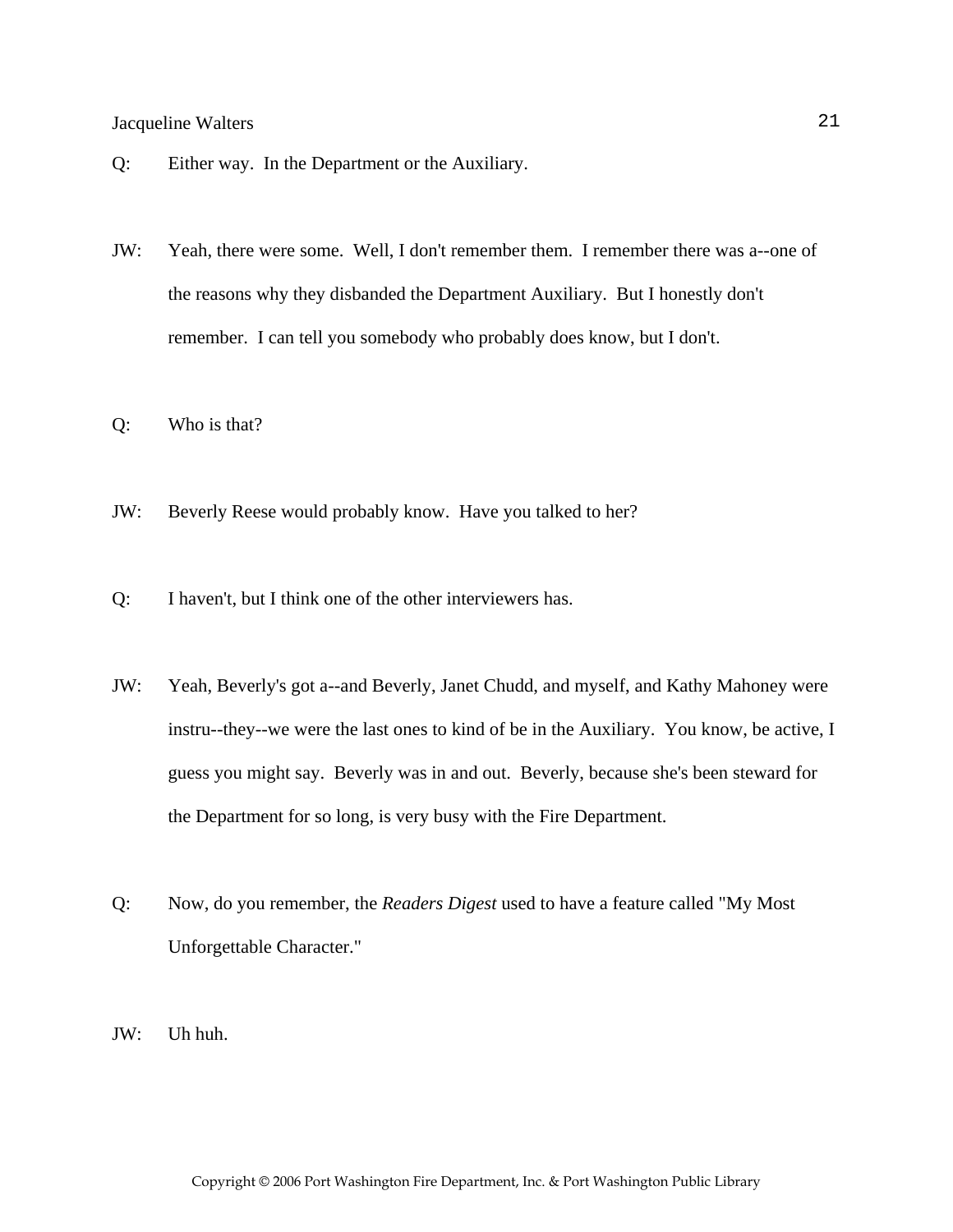- Q: Either way. In the Department or the Auxiliary.
- JW: Yeah, there were some. Well, I don't remember them. I remember there was a--one of the reasons why they disbanded the Department Auxiliary. But I honestly don't remember. I can tell you somebody who probably does know, but I don't.
- Q: Who is that?
- JW: Beverly Reese would probably know. Have you talked to her?
- Q: I haven't, but I think one of the other interviewers has.
- JW: Yeah, Beverly's got a--and Beverly, Janet Chudd, and myself, and Kathy Mahoney were instru--they--we were the last ones to kind of be in the Auxiliary. You know, be active, I guess you might say. Beverly was in and out. Beverly, because she's been steward for the Department for so long, is very busy with the Fire Department.
- Q: Now, do you remember, the *Readers Digest* used to have a feature called "My Most Unforgettable Character."
- JW: Uh huh.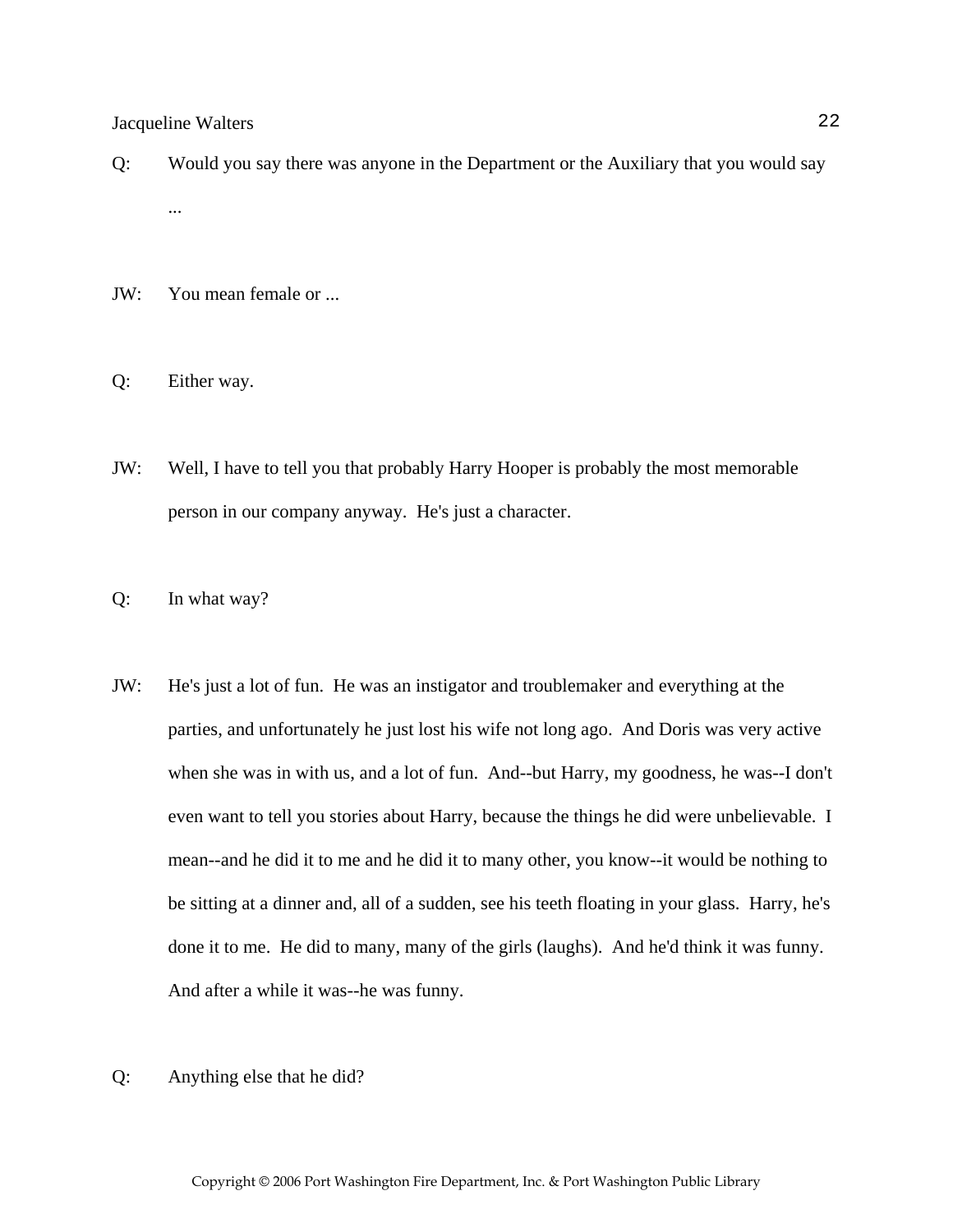- Q: Would you say there was anyone in the Department or the Auxiliary that you would say ...
- JW: You mean female or ...
- Q: Either way.
- JW: Well, I have to tell you that probably Harry Hooper is probably the most memorable person in our company anyway. He's just a character.
- Q: In what way?
- JW: He's just a lot of fun. He was an instigator and troublemaker and everything at the parties, and unfortunately he just lost his wife not long ago. And Doris was very active when she was in with us, and a lot of fun. And--but Harry, my goodness, he was--I don't even want to tell you stories about Harry, because the things he did were unbelievable. I mean--and he did it to me and he did it to many other, you know--it would be nothing to be sitting at a dinner and, all of a sudden, see his teeth floating in your glass. Harry, he's done it to me. He did to many, many of the girls (laughs). And he'd think it was funny. And after a while it was--he was funny.
- Q: Anything else that he did?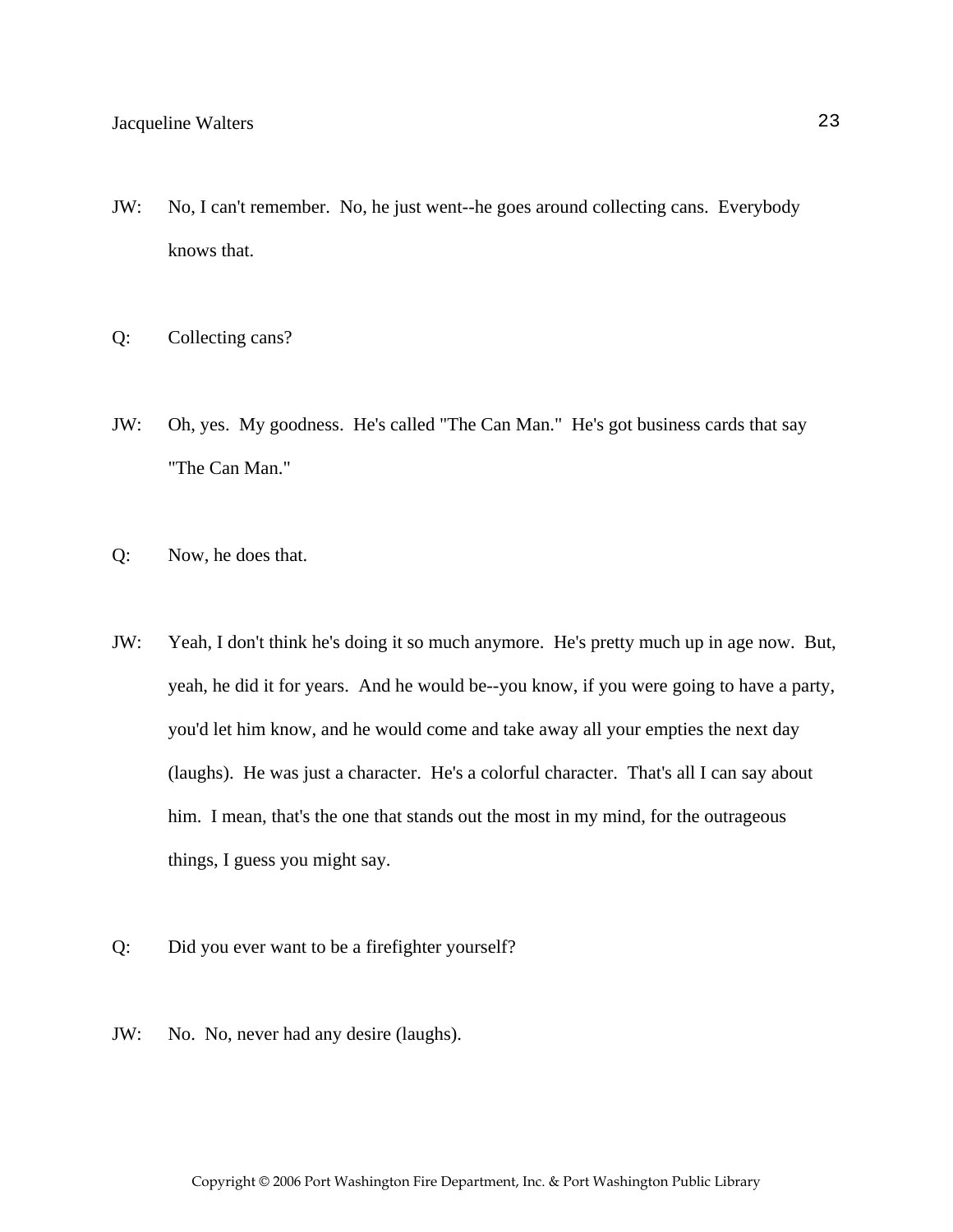- JW: No, I can't remember. No, he just went--he goes around collecting cans. Everybody knows that.
- Q: Collecting cans?
- JW: Oh, yes. My goodness. He's called "The Can Man." He's got business cards that say "The Can Man."
- Q: Now, he does that.
- JW: Yeah, I don't think he's doing it so much anymore. He's pretty much up in age now. But, yeah, he did it for years. And he would be--you know, if you were going to have a party, you'd let him know, and he would come and take away all your empties the next day (laughs). He was just a character. He's a colorful character. That's all I can say about him. I mean, that's the one that stands out the most in my mind, for the outrageous things, I guess you might say.
- Q: Did you ever want to be a firefighter yourself?
- JW: No. No, never had any desire (laughs).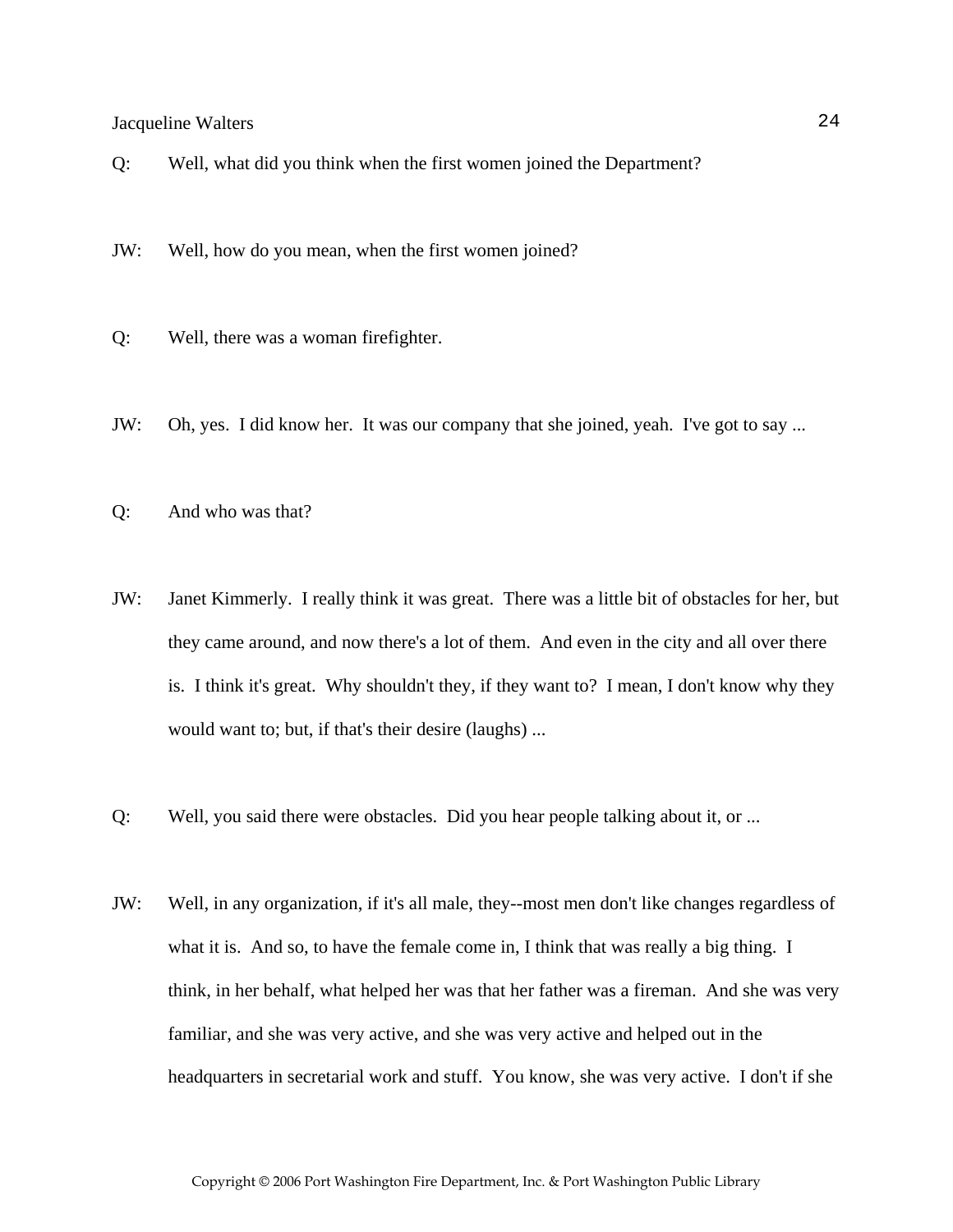Q: Well, what did you think when the first women joined the Department?

JW: Well, how do you mean, when the first women joined?

- Q: Well, there was a woman firefighter.
- JW: Oh, yes. I did know her. It was our company that she joined, yeah. I've got to say ...
- Q: And who was that?
- JW: Janet Kimmerly. I really think it was great. There was a little bit of obstacles for her, but they came around, and now there's a lot of them. And even in the city and all over there is. I think it's great. Why shouldn't they, if they want to? I mean, I don't know why they would want to; but, if that's their desire (laughs) ...
- Q: Well, you said there were obstacles. Did you hear people talking about it, or ...
- JW: Well, in any organization, if it's all male, they--most men don't like changes regardless of what it is. And so, to have the female come in, I think that was really a big thing. I think, in her behalf, what helped her was that her father was a fireman. And she was very familiar, and she was very active, and she was very active and helped out in the headquarters in secretarial work and stuff. You know, she was very active. I don't if she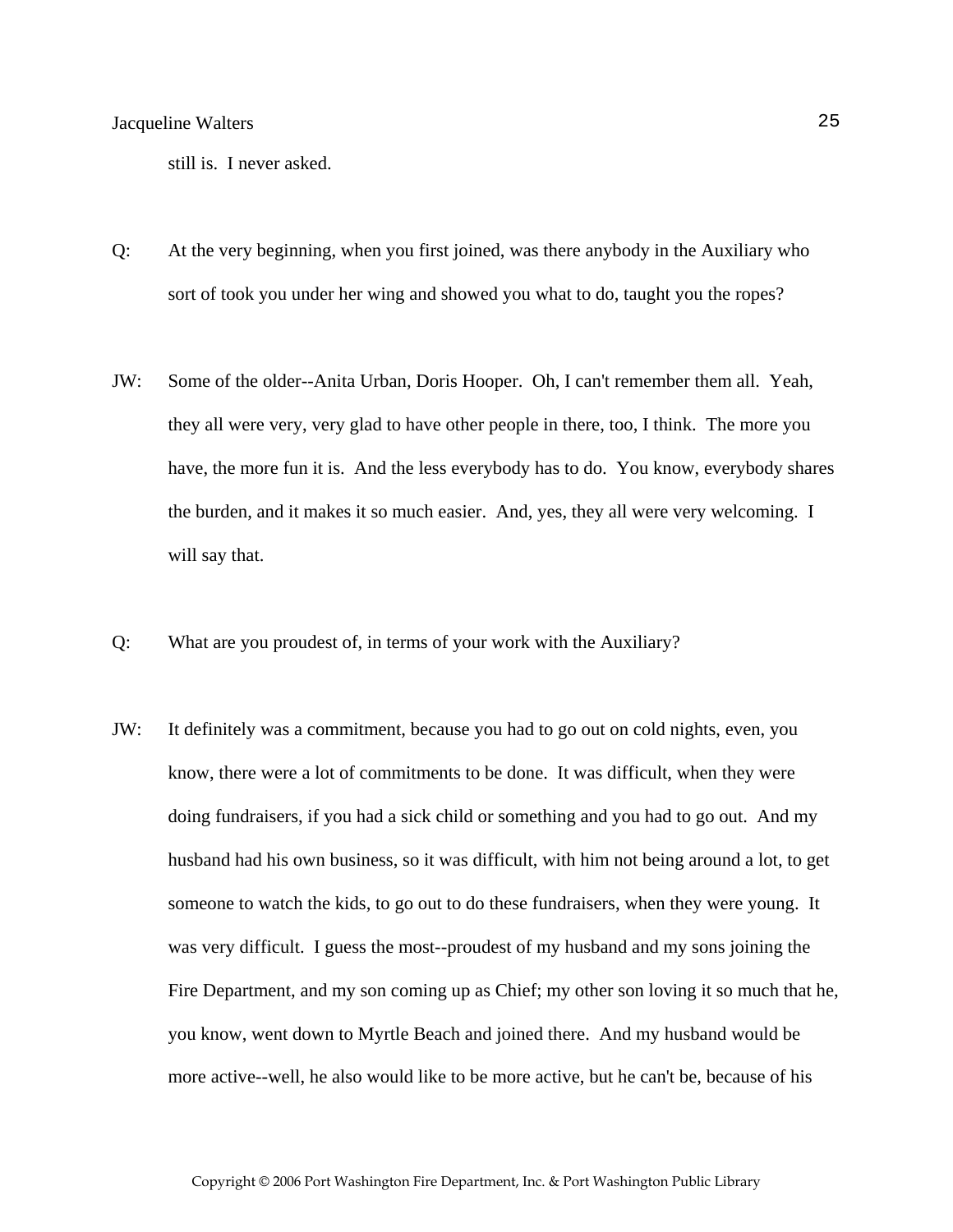still is. I never asked.

- Q: At the very beginning, when you first joined, was there anybody in the Auxiliary who sort of took you under her wing and showed you what to do, taught you the ropes?
- JW: Some of the older--Anita Urban, Doris Hooper. Oh, I can't remember them all. Yeah, they all were very, very glad to have other people in there, too, I think. The more you have, the more fun it is. And the less everybody has to do. You know, everybody shares the burden, and it makes it so much easier. And, yes, they all were very welcoming. I will say that.
- Q: What are you proudest of, in terms of your work with the Auxiliary?
- JW: It definitely was a commitment, because you had to go out on cold nights, even, you know, there were a lot of commitments to be done. It was difficult, when they were doing fundraisers, if you had a sick child or something and you had to go out. And my husband had his own business, so it was difficult, with him not being around a lot, to get someone to watch the kids, to go out to do these fundraisers, when they were young. It was very difficult. I guess the most--proudest of my husband and my sons joining the Fire Department, and my son coming up as Chief; my other son loving it so much that he, you know, went down to Myrtle Beach and joined there. And my husband would be more active--well, he also would like to be more active, but he can't be, because of his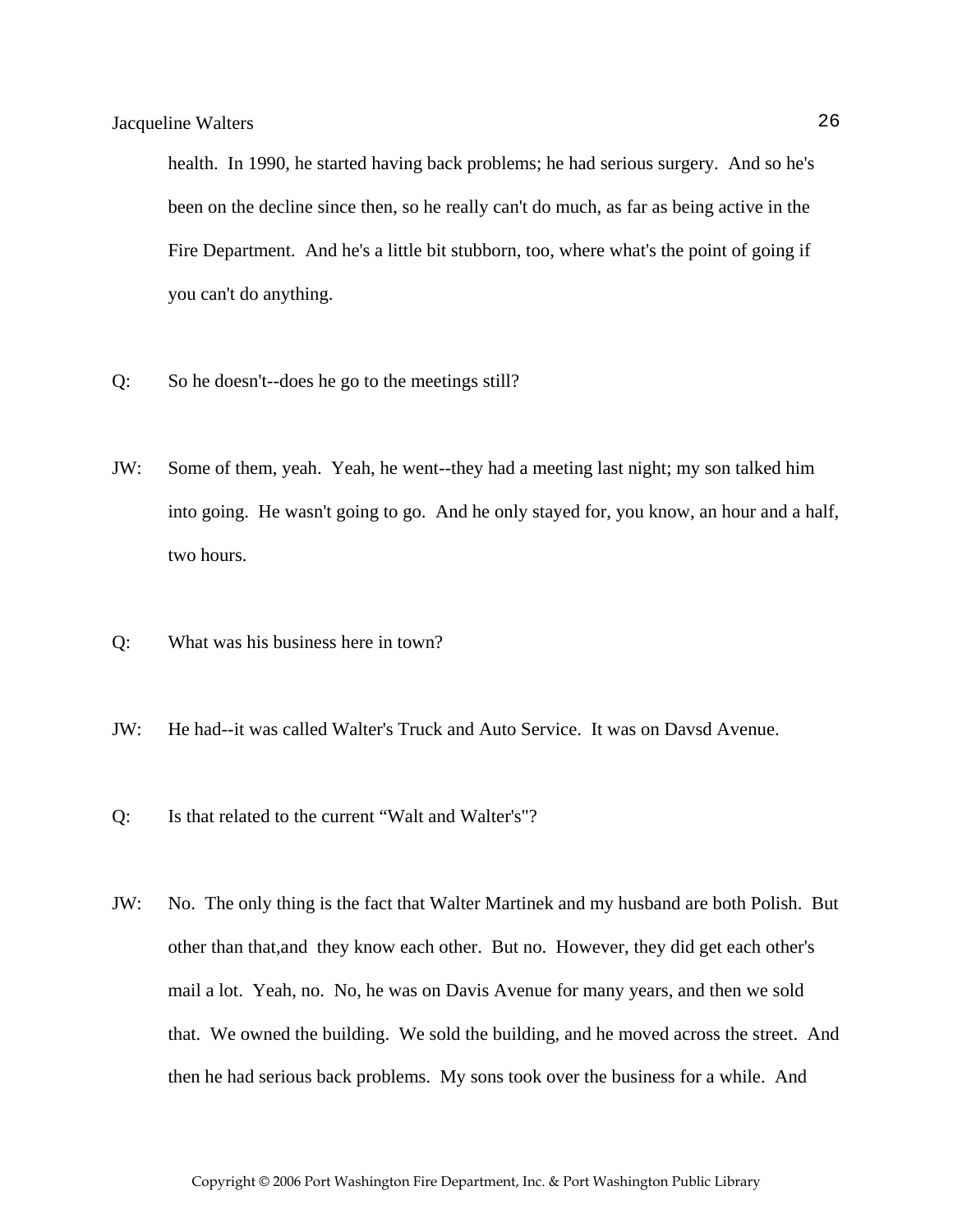health. In 1990, he started having back problems; he had serious surgery. And so he's been on the decline since then, so he really can't do much, as far as being active in the Fire Department. And he's a little bit stubborn, too, where what's the point of going if you can't do anything.

- Q: So he doesn't--does he go to the meetings still?
- JW: Some of them, yeah. Yeah, he went--they had a meeting last night; my son talked him into going. He wasn't going to go. And he only stayed for, you know, an hour and a half, two hours.
- Q: What was his business here in town?
- JW: He had--it was called Walter's Truck and Auto Service. It was on Davsd Avenue.
- Q: Is that related to the current "Walt and Walter's"?
- JW: No. The only thing is the fact that Walter Martinek and my husband are both Polish. But other than that,and they know each other. But no. However, they did get each other's mail a lot. Yeah, no. No, he was on Davis Avenue for many years, and then we sold that. We owned the building. We sold the building, and he moved across the street. And then he had serious back problems. My sons took over the business for a while. And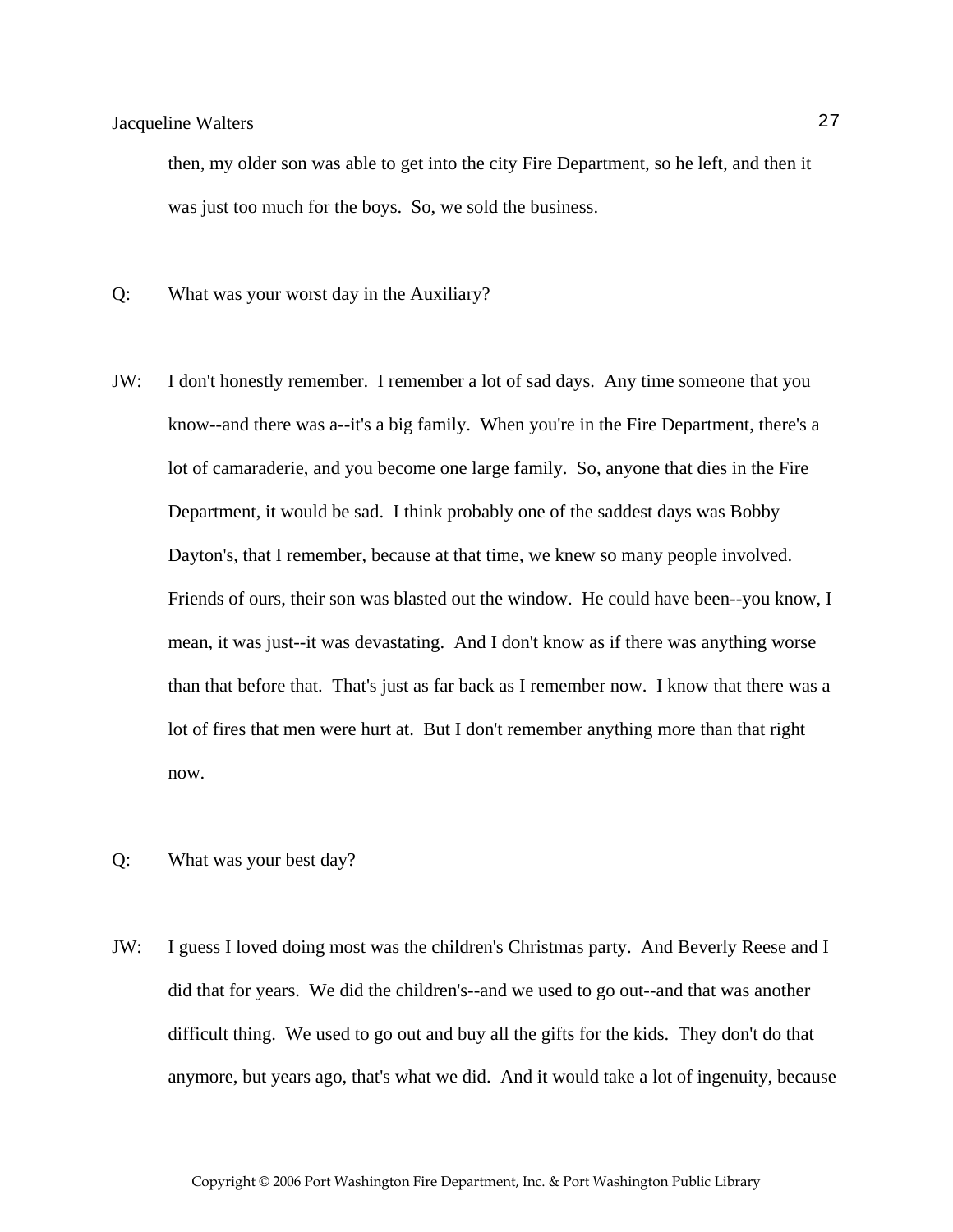then, my older son was able to get into the city Fire Department, so he left, and then it was just too much for the boys. So, we sold the business.

Q: What was your worst day in the Auxiliary?

- JW: I don't honestly remember. I remember a lot of sad days. Any time someone that you know--and there was a--it's a big family. When you're in the Fire Department, there's a lot of camaraderie, and you become one large family. So, anyone that dies in the Fire Department, it would be sad. I think probably one of the saddest days was Bobby Dayton's, that I remember, because at that time, we knew so many people involved. Friends of ours, their son was blasted out the window. He could have been--you know, I mean, it was just--it was devastating. And I don't know as if there was anything worse than that before that. That's just as far back as I remember now. I know that there was a lot of fires that men were hurt at. But I don't remember anything more than that right now.
- Q: What was your best day?
- JW: I guess I loved doing most was the children's Christmas party. And Beverly Reese and I did that for years. We did the children's--and we used to go out--and that was another difficult thing. We used to go out and buy all the gifts for the kids. They don't do that anymore, but years ago, that's what we did. And it would take a lot of ingenuity, because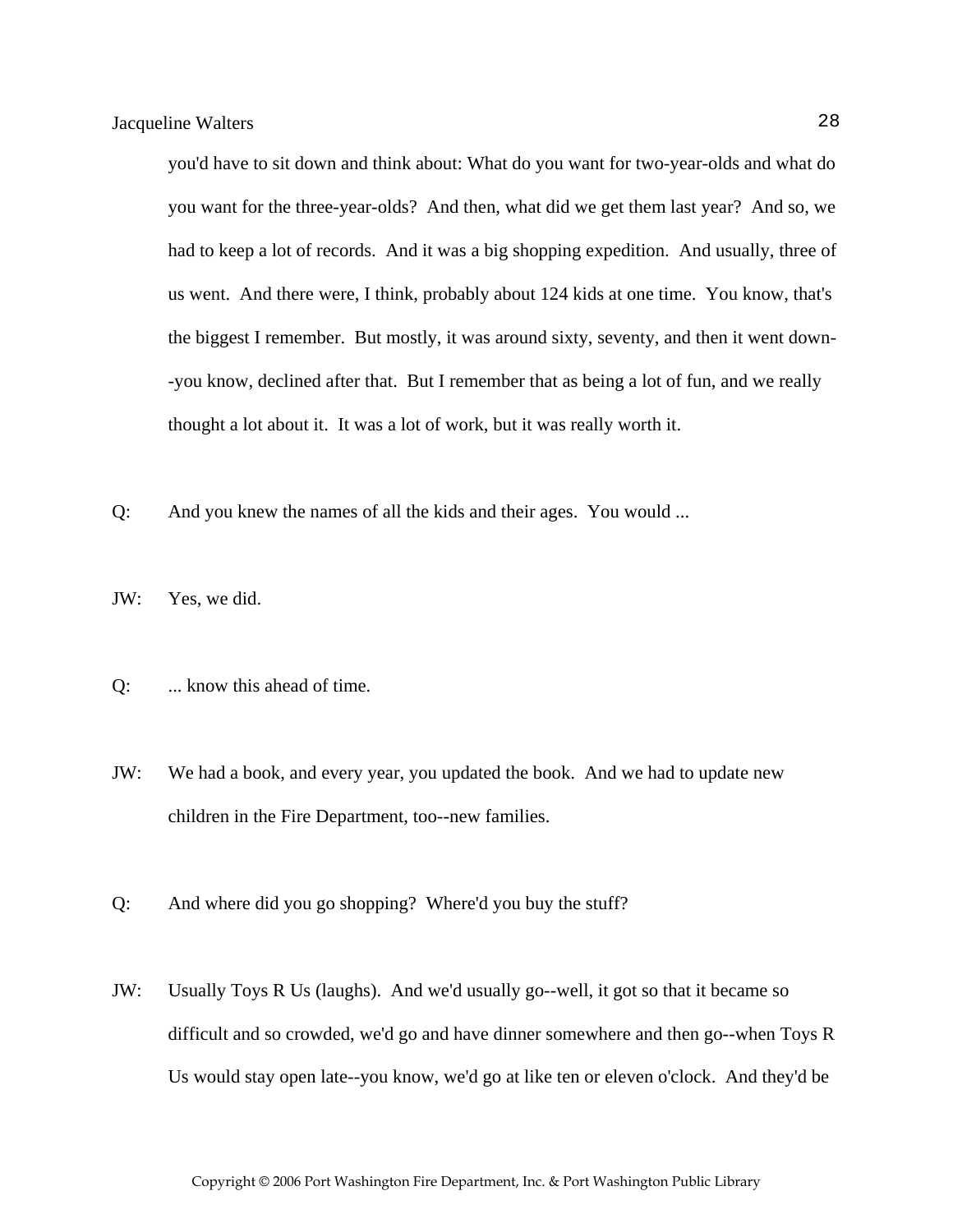you'd have to sit down and think about: What do you want for two-year-olds and what do you want for the three-year-olds? And then, what did we get them last year? And so, we had to keep a lot of records. And it was a big shopping expedition. And usually, three of us went. And there were, I think, probably about 124 kids at one time. You know, that's the biggest I remember. But mostly, it was around sixty, seventy, and then it went down- -you know, declined after that. But I remember that as being a lot of fun, and we really thought a lot about it. It was a lot of work, but it was really worth it.

- Q: And you knew the names of all the kids and their ages. You would ...
- JW: Yes, we did.
- Q: ... know this ahead of time.
- JW: We had a book, and every year, you updated the book. And we had to update new children in the Fire Department, too--new families.
- Q: And where did you go shopping? Where'd you buy the stuff?
- JW: Usually Toys R Us (laughs). And we'd usually go--well, it got so that it became so difficult and so crowded, we'd go and have dinner somewhere and then go--when Toys R Us would stay open late--you know, we'd go at like ten or eleven o'clock. And they'd be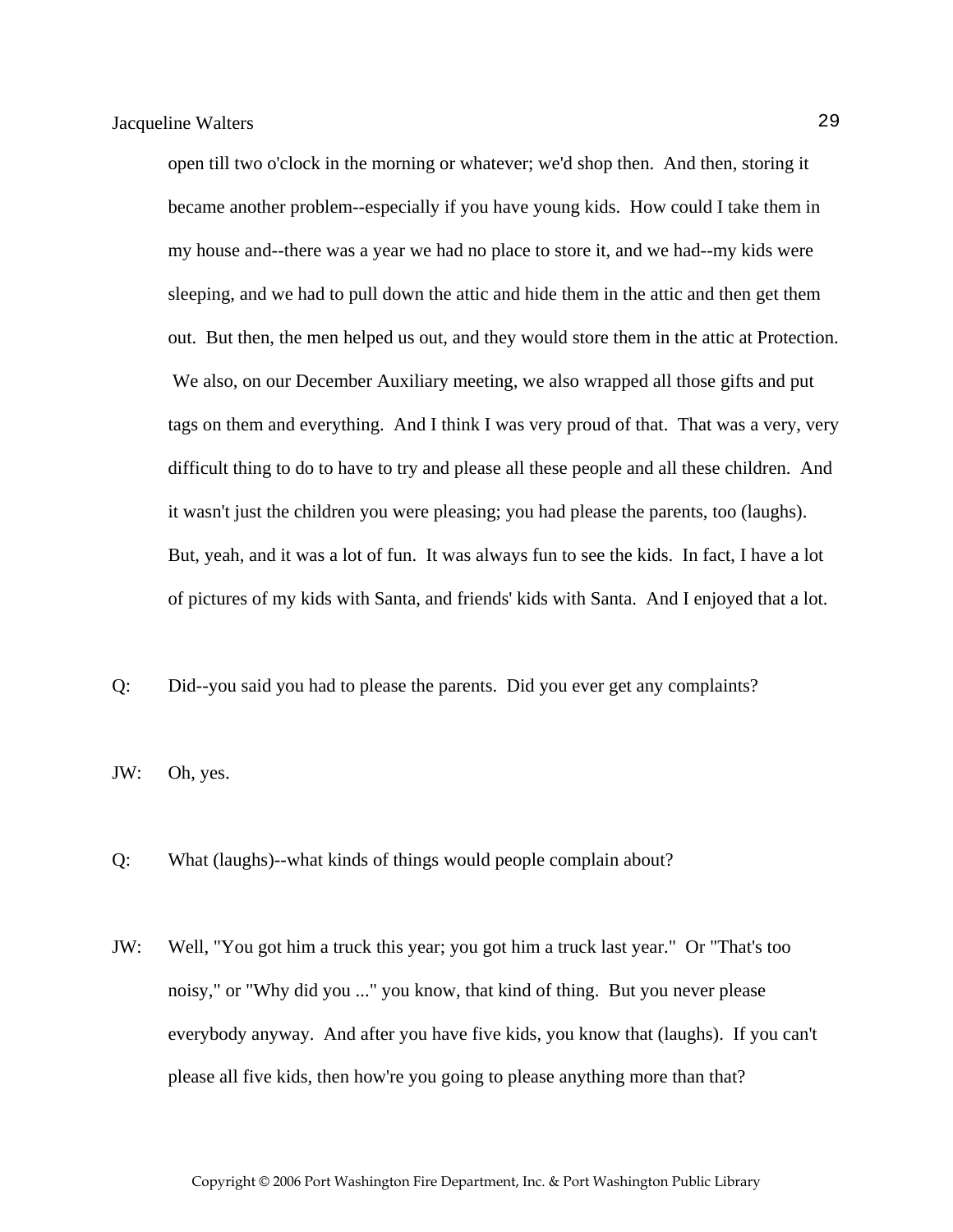open till two o'clock in the morning or whatever; we'd shop then. And then, storing it became another problem--especially if you have young kids. How could I take them in my house and--there was a year we had no place to store it, and we had--my kids were sleeping, and we had to pull down the attic and hide them in the attic and then get them out. But then, the men helped us out, and they would store them in the attic at Protection. We also, on our December Auxiliary meeting, we also wrapped all those gifts and put tags on them and everything. And I think I was very proud of that. That was a very, very difficult thing to do to have to try and please all these people and all these children. And it wasn't just the children you were pleasing; you had please the parents, too (laughs). But, yeah, and it was a lot of fun. It was always fun to see the kids. In fact, I have a lot of pictures of my kids with Santa, and friends' kids with Santa. And I enjoyed that a lot.

Q: Did--you said you had to please the parents. Did you ever get any complaints?

JW: Oh, yes.

Q: What (laughs)--what kinds of things would people complain about?

JW: Well, "You got him a truck this year; you got him a truck last year." Or "That's too noisy," or "Why did you ..." you know, that kind of thing. But you never please everybody anyway. And after you have five kids, you know that (laughs). If you can't please all five kids, then how're you going to please anything more than that?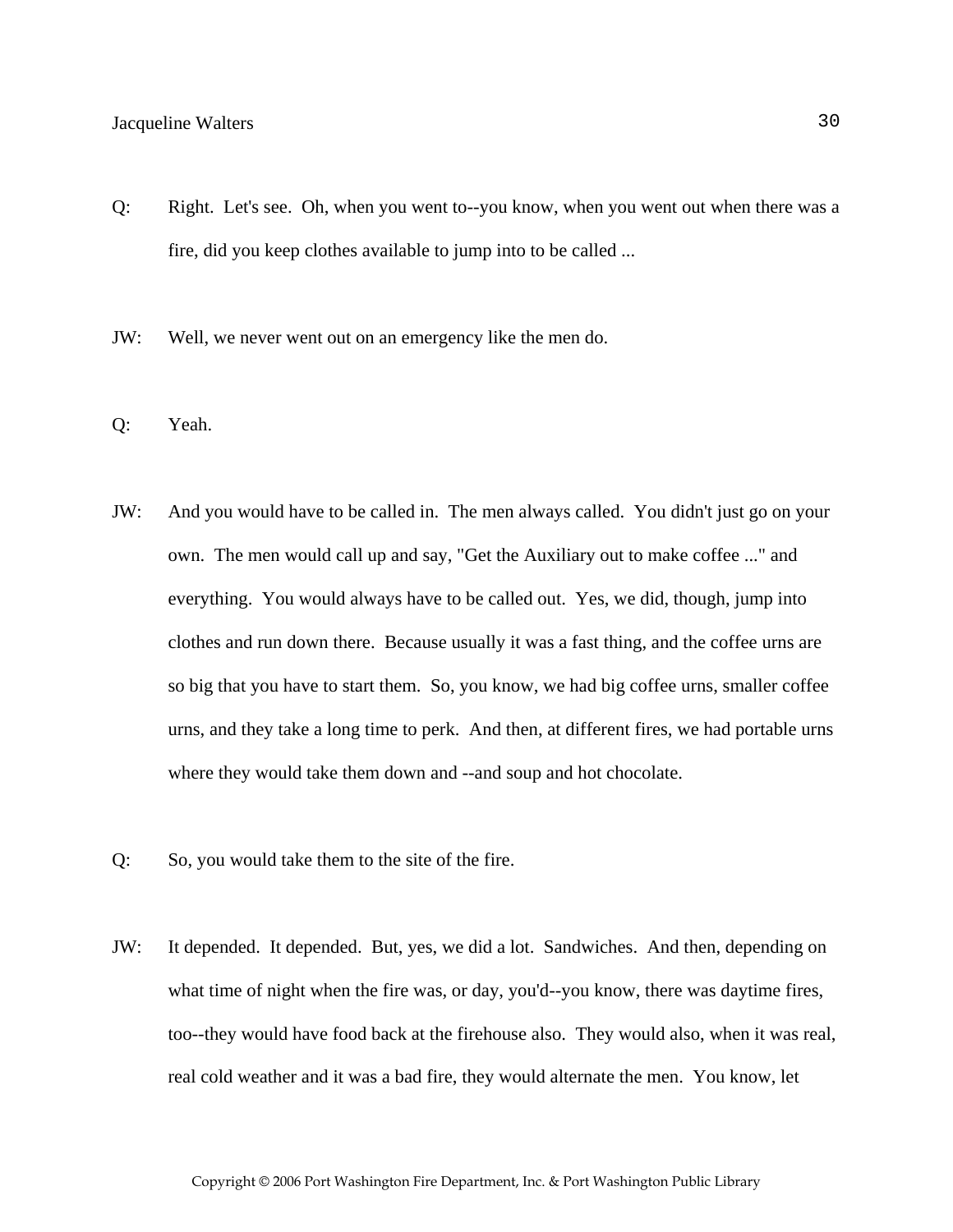- Q: Right. Let's see. Oh, when you went to--you know, when you went out when there was a fire, did you keep clothes available to jump into to be called ...
- JW: Well, we never went out on an emergency like the men do.
- Q: Yeah.
- JW: And you would have to be called in. The men always called. You didn't just go on your own. The men would call up and say, "Get the Auxiliary out to make coffee ..." and everything. You would always have to be called out. Yes, we did, though, jump into clothes and run down there. Because usually it was a fast thing, and the coffee urns are so big that you have to start them. So, you know, we had big coffee urns, smaller coffee urns, and they take a long time to perk. And then, at different fires, we had portable urns where they would take them down and --and soup and hot chocolate.
- Q: So, you would take them to the site of the fire.
- JW: It depended. It depended. But, yes, we did a lot. Sandwiches. And then, depending on what time of night when the fire was, or day, you'd--you know, there was daytime fires, too--they would have food back at the firehouse also. They would also, when it was real, real cold weather and it was a bad fire, they would alternate the men. You know, let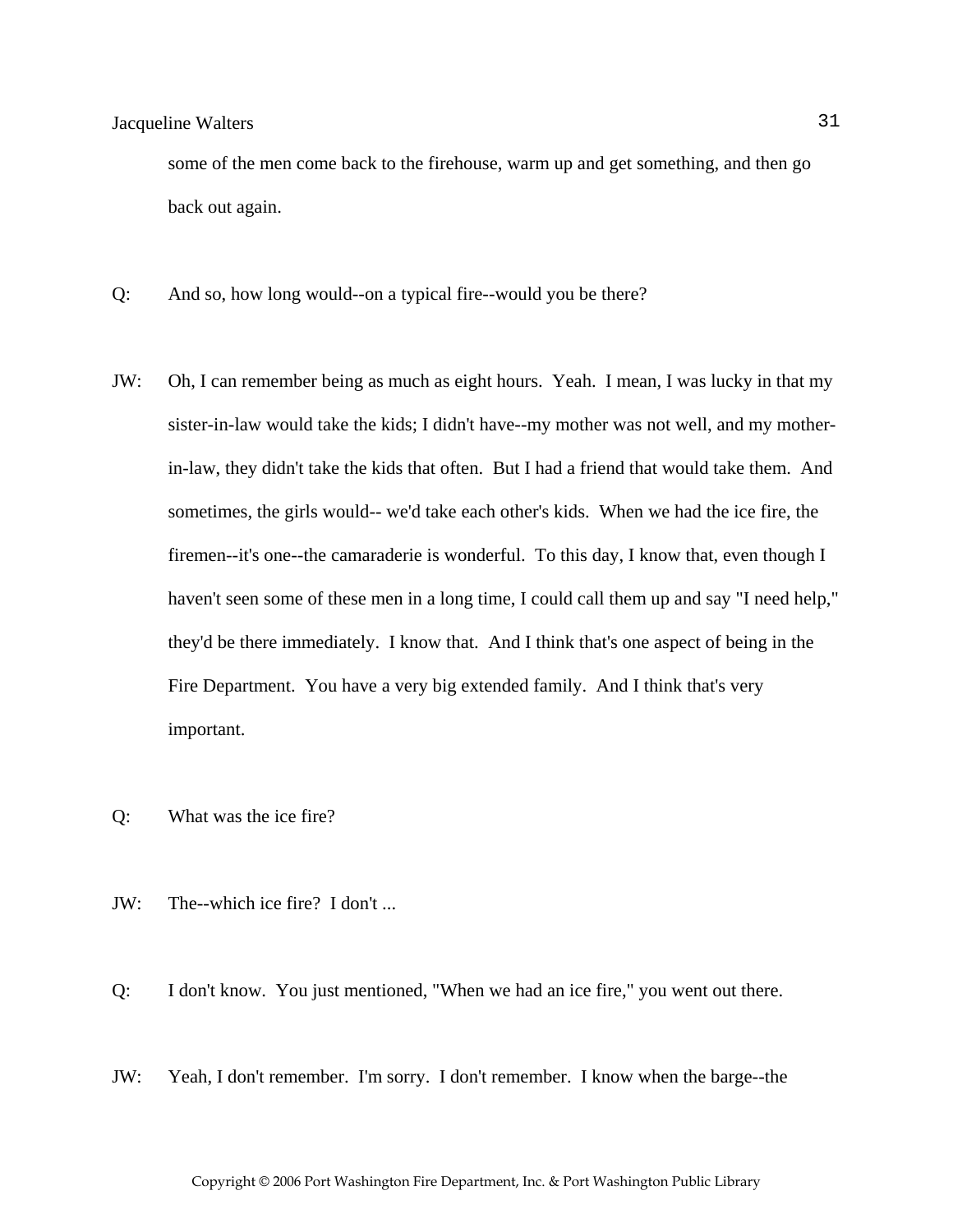some of the men come back to the firehouse, warm up and get something, and then go back out again.

- Q: And so, how long would--on a typical fire--would you be there?
- JW: Oh, I can remember being as much as eight hours. Yeah. I mean, I was lucky in that my sister-in-law would take the kids; I didn't have--my mother was not well, and my motherin-law, they didn't take the kids that often. But I had a friend that would take them. And sometimes, the girls would-- we'd take each other's kids. When we had the ice fire, the firemen--it's one--the camaraderie is wonderful. To this day, I know that, even though I haven't seen some of these men in a long time, I could call them up and say "I need help," they'd be there immediately. I know that. And I think that's one aspect of being in the Fire Department. You have a very big extended family. And I think that's very important.
- Q: What was the ice fire?
- JW: The--which ice fire? I don't ...
- Q: I don't know. You just mentioned, "When we had an ice fire," you went out there.
- JW: Yeah, I don't remember. I'm sorry. I don't remember. I know when the barge--the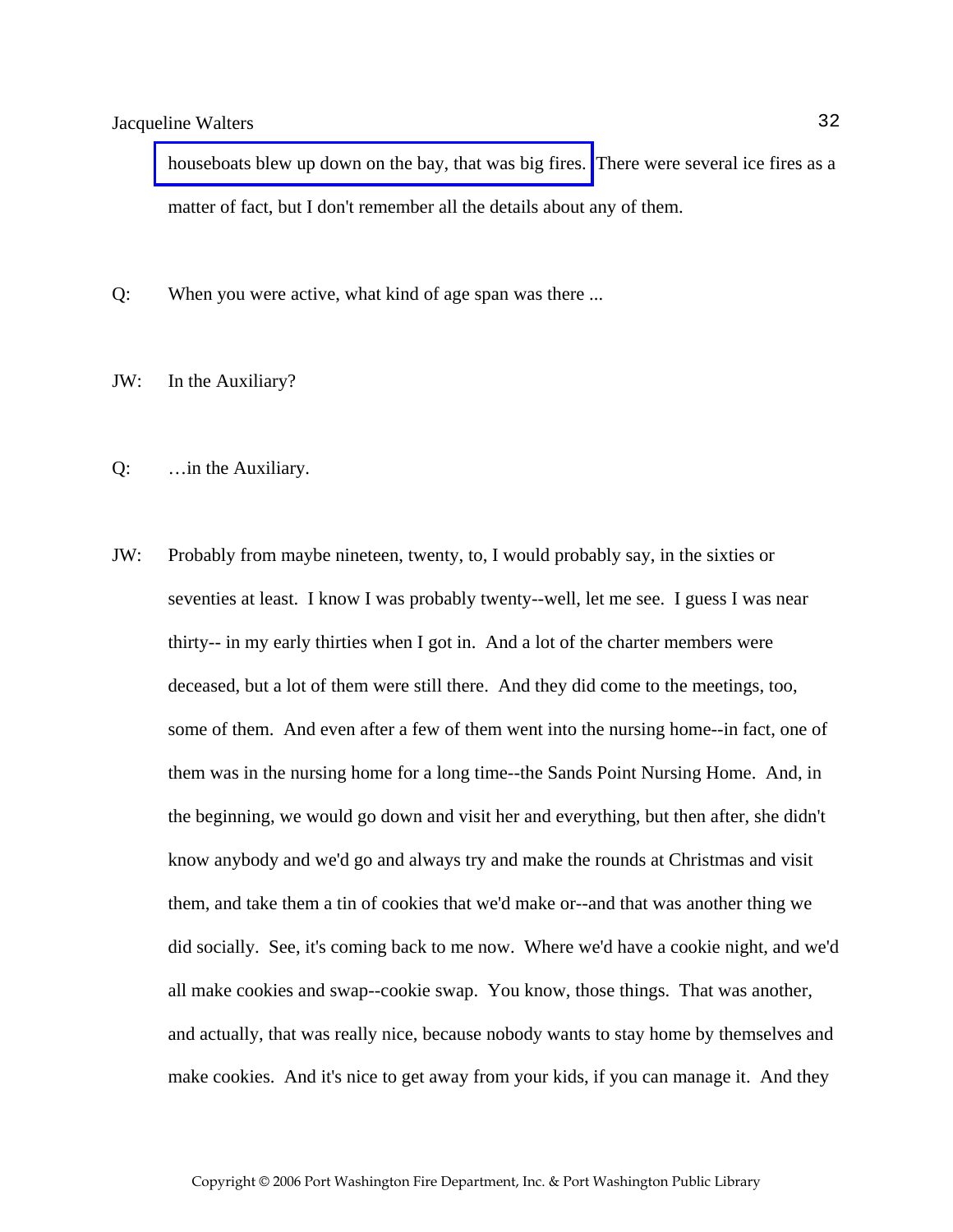[houseboats blew up down on the bay, that was big fires.](http://www.pwfdhistory.com/trans/waltersjac_trans/peco_fires004_web.jpg) There were several ice fires as a matter of fact, but I don't remember all the details about any of them.

- Q: When you were active, what kind of age span was there ...
- JW: In the Auxiliary?
- Q: …in the Auxiliary.
- JW: Probably from maybe nineteen, twenty, to, I would probably say, in the sixties or seventies at least. I know I was probably twenty--well, let me see. I guess I was near thirty-- in my early thirties when I got in. And a lot of the charter members were deceased, but a lot of them were still there. And they did come to the meetings, too, some of them. And even after a few of them went into the nursing home--in fact, one of them was in the nursing home for a long time--the Sands Point Nursing Home. And, in the beginning, we would go down and visit her and everything, but then after, she didn't know anybody and we'd go and always try and make the rounds at Christmas and visit them, and take them a tin of cookies that we'd make or--and that was another thing we did socially. See, it's coming back to me now. Where we'd have a cookie night, and we'd all make cookies and swap--cookie swap. You know, those things. That was another, and actually, that was really nice, because nobody wants to stay home by themselves and make cookies. And it's nice to get away from your kids, if you can manage it. And they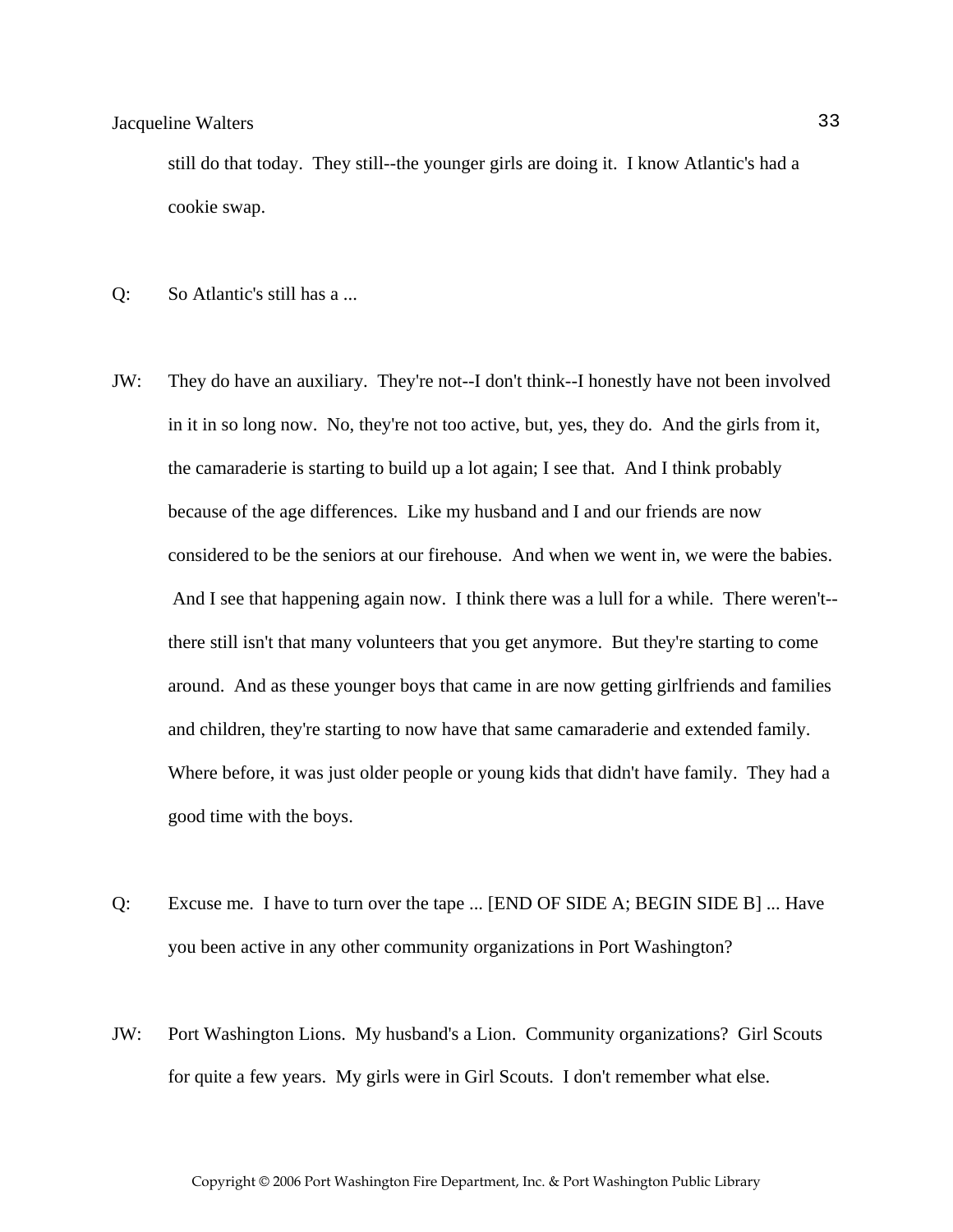still do that today. They still--the younger girls are doing it. I know Atlantic's had a cookie swap.

- Q: So Atlantic's still has a ...
- JW: They do have an auxiliary. They're not--I don't think--I honestly have not been involved in it in so long now. No, they're not too active, but, yes, they do. And the girls from it, the camaraderie is starting to build up a lot again; I see that. And I think probably because of the age differences. Like my husband and I and our friends are now considered to be the seniors at our firehouse. And when we went in, we were the babies. And I see that happening again now. I think there was a lull for a while. There weren't- there still isn't that many volunteers that you get anymore. But they're starting to come around. And as these younger boys that came in are now getting girlfriends and families and children, they're starting to now have that same camaraderie and extended family. Where before, it was just older people or young kids that didn't have family. They had a good time with the boys.
- Q: Excuse me. I have to turn over the tape ... [END OF SIDE A; BEGIN SIDE B] ... Have you been active in any other community organizations in Port Washington?
- JW: Port Washington Lions. My husband's a Lion. Community organizations? Girl Scouts for quite a few years. My girls were in Girl Scouts. I don't remember what else.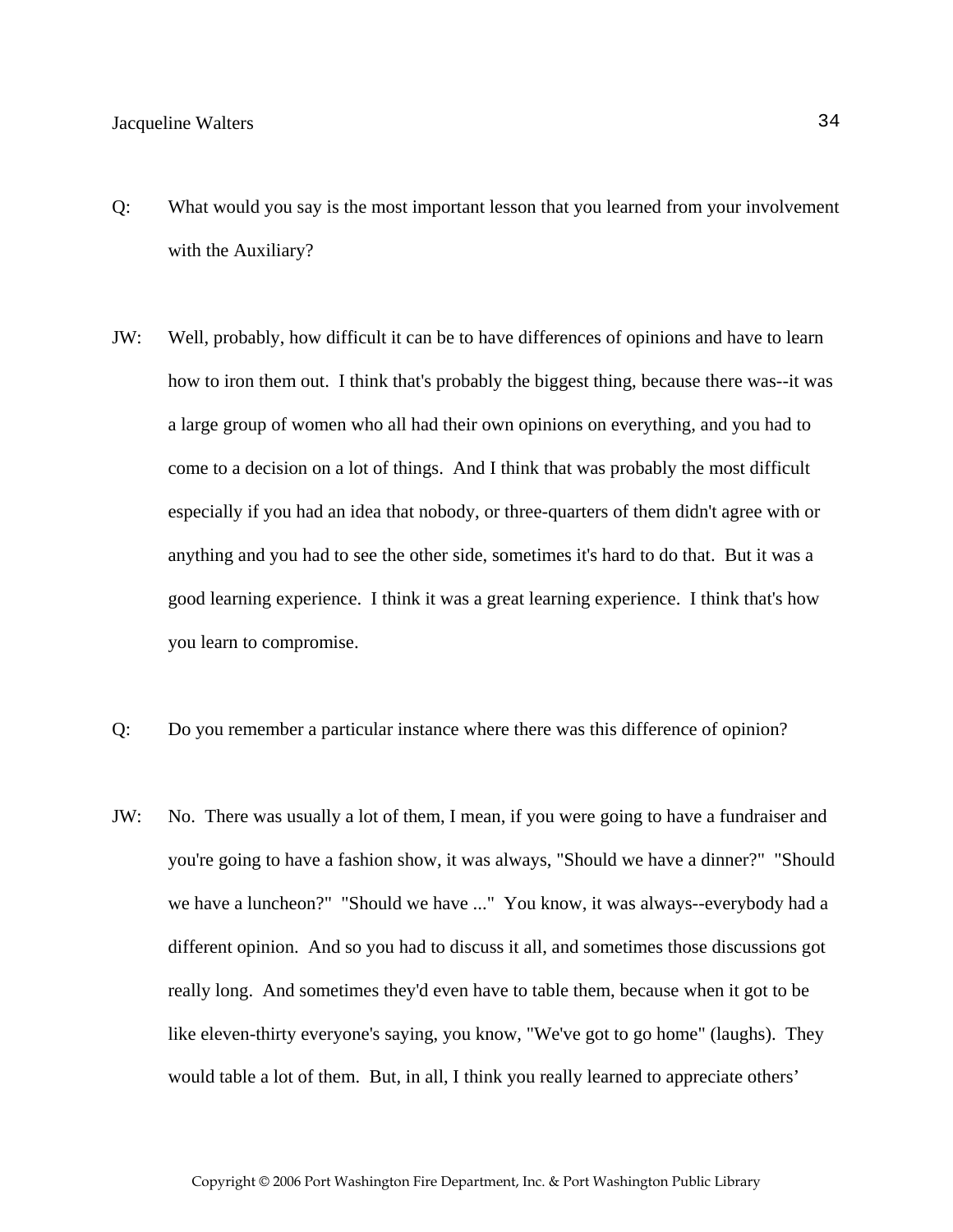- Q: What would you say is the most important lesson that you learned from your involvement with the Auxiliary?
- JW: Well, probably, how difficult it can be to have differences of opinions and have to learn how to iron them out. I think that's probably the biggest thing, because there was--it was a large group of women who all had their own opinions on everything, and you had to come to a decision on a lot of things. And I think that was probably the most difficult especially if you had an idea that nobody, or three-quarters of them didn't agree with or anything and you had to see the other side, sometimes it's hard to do that. But it was a good learning experience. I think it was a great learning experience. I think that's how you learn to compromise.
- Q: Do you remember a particular instance where there was this difference of opinion?
- JW: No. There was usually a lot of them, I mean, if you were going to have a fundraiser and you're going to have a fashion show, it was always, "Should we have a dinner?" "Should we have a luncheon?" "Should we have ..." You know, it was always--everybody had a different opinion. And so you had to discuss it all, and sometimes those discussions got really long. And sometimes they'd even have to table them, because when it got to be like eleven-thirty everyone's saying, you know, "We've got to go home" (laughs). They would table a lot of them. But, in all, I think you really learned to appreciate others'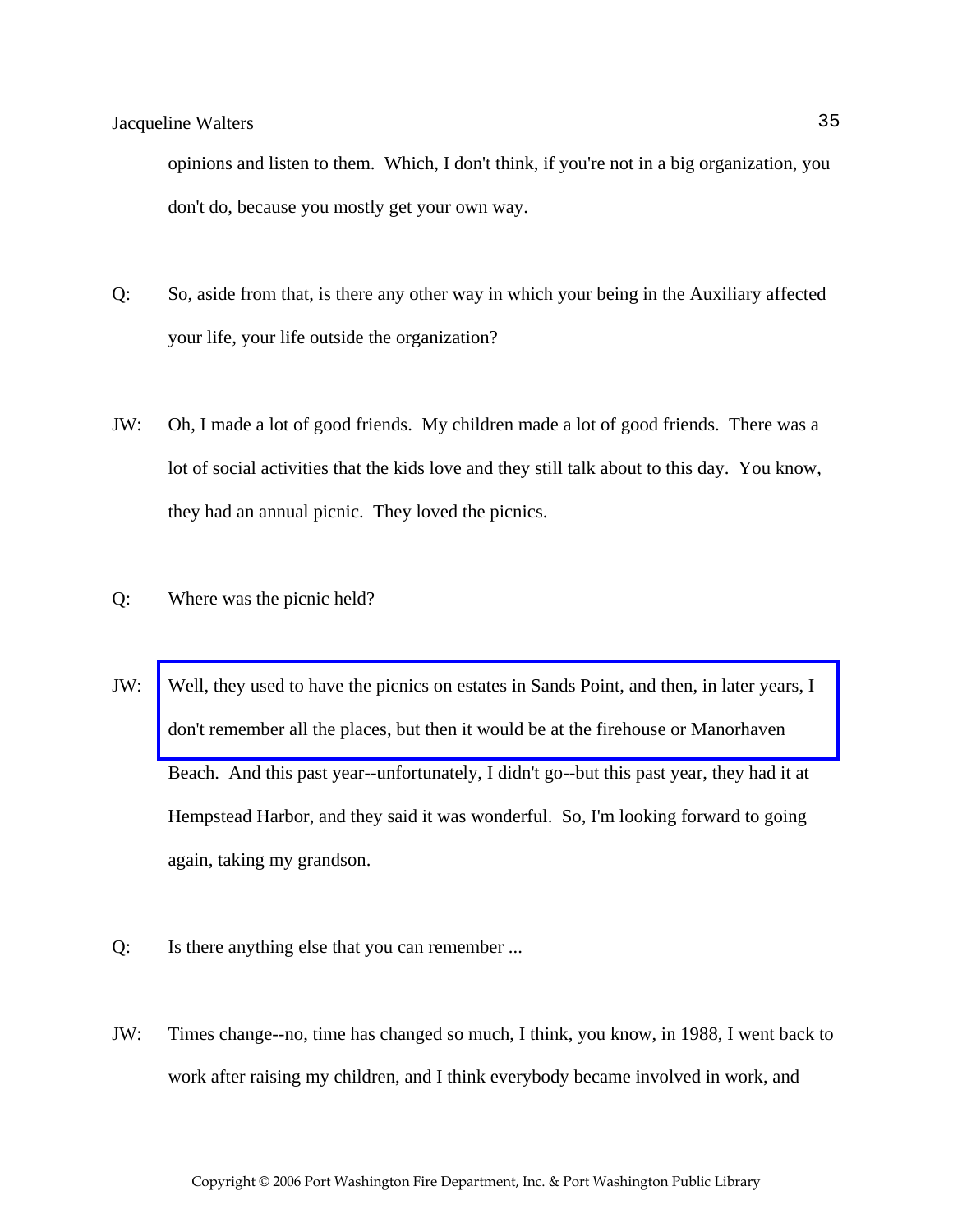opinions and listen to them. Which, I don't think, if you're not in a big organization, you don't do, because you mostly get your own way.

- Q: So, aside from that, is there any other way in which your being in the Auxiliary affected your life, your life outside the organization?
- JW: Oh, I made a lot of good friends. My children made a lot of good friends. There was a lot of social activities that the kids love and they still talk about to this day. You know, they had an annual picnic. They loved the picnics.
- Q: Where was the picnic held?
- JW: [Well, they used to have the picnics on estates in Sands Point, and then, in later years, I](http://www.pwfdhistory.com/trans/waltersjac_trans/pwfd_picnic001.jpg)  don't remember all the places, but then it would be at the firehouse or Manorhaven Beach. And this past year--unfortunately, I didn't go--but this past year, they had it at Hempstead Harbor, and they said it was wonderful. So, I'm looking forward to going again, taking my grandson.
- Q: Is there anything else that you can remember ...
- JW: Times change--no, time has changed so much, I think, you know, in 1988, I went back to work after raising my children, and I think everybody became involved in work, and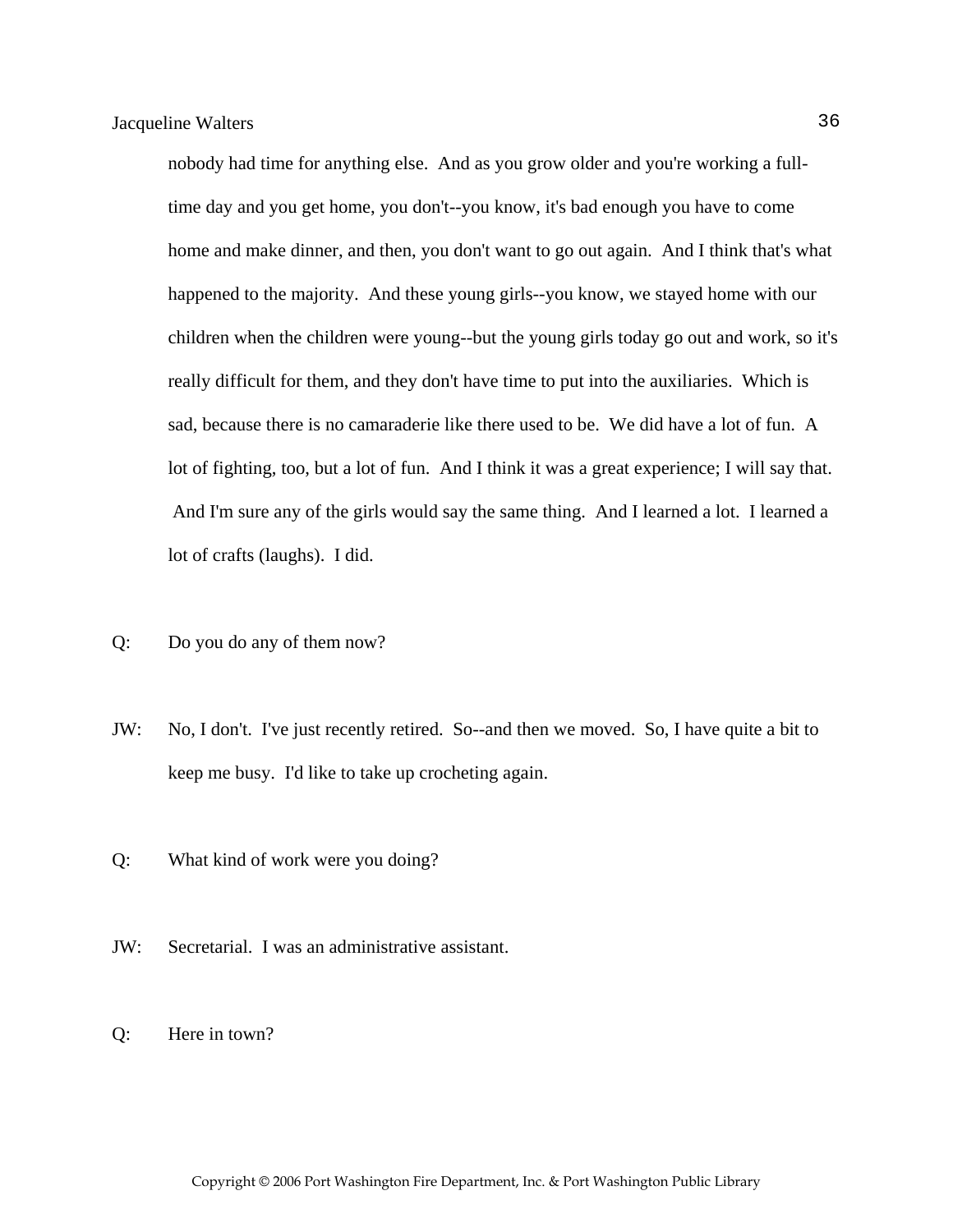nobody had time for anything else. And as you grow older and you're working a fulltime day and you get home, you don't--you know, it's bad enough you have to come home and make dinner, and then, you don't want to go out again. And I think that's what happened to the majority. And these young girls--you know, we stayed home with our children when the children were young--but the young girls today go out and work, so it's really difficult for them, and they don't have time to put into the auxiliaries. Which is sad, because there is no camaraderie like there used to be. We did have a lot of fun. A lot of fighting, too, but a lot of fun. And I think it was a great experience; I will say that. And I'm sure any of the girls would say the same thing. And I learned a lot. I learned a lot of crafts (laughs). I did.

- Q: Do you do any of them now?
- JW: No, I don't. I've just recently retired. So--and then we moved. So, I have quite a bit to keep me busy. I'd like to take up crocheting again.
- Q: What kind of work were you doing?
- JW: Secretarial. I was an administrative assistant.
- Q: Here in town?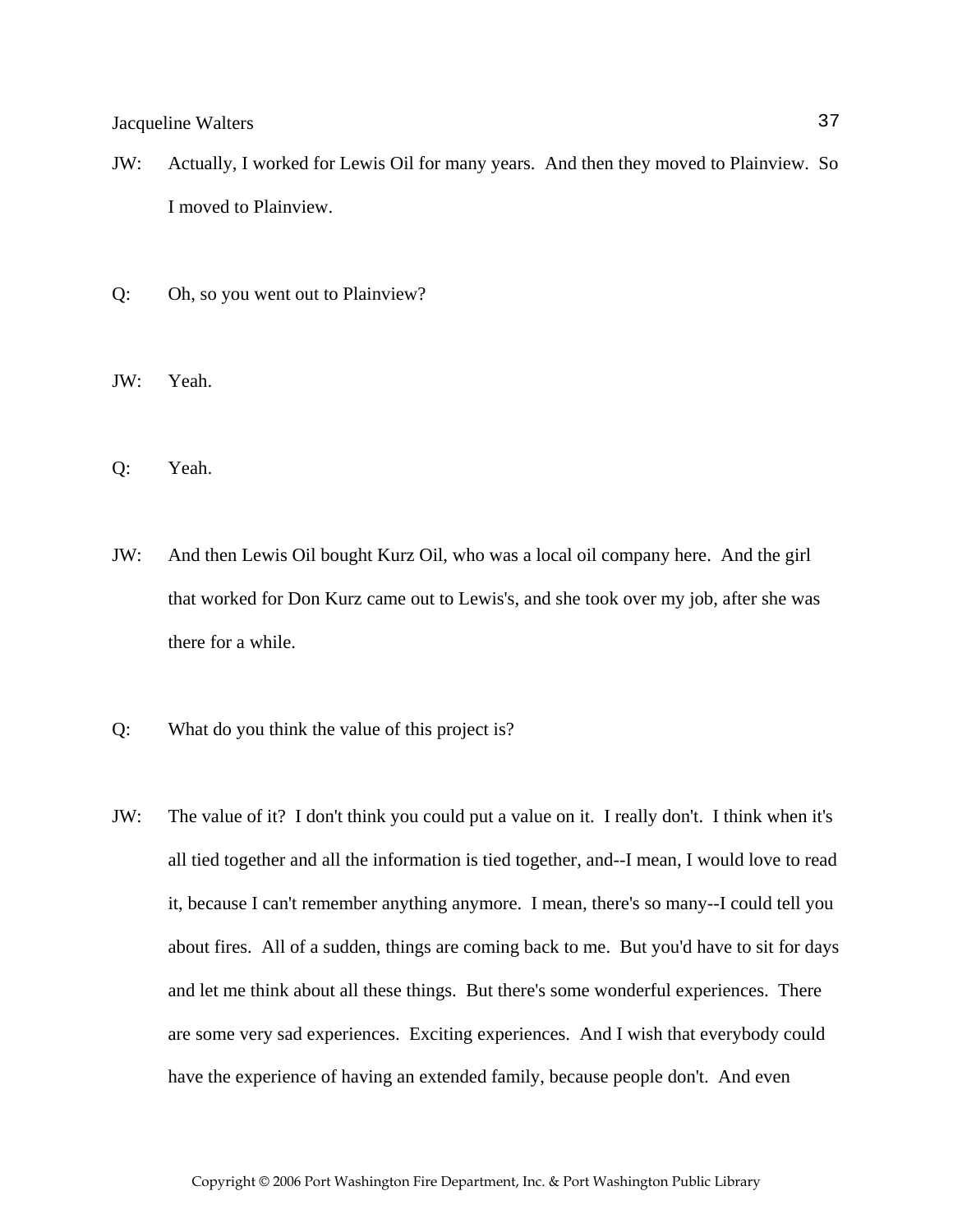- JW: Actually, I worked for Lewis Oil for many years. And then they moved to Plainview. So I moved to Plainview.
- Q: Oh, so you went out to Plainview?
- JW: Yeah.
- Q: Yeah.
- JW: And then Lewis Oil bought Kurz Oil, who was a local oil company here. And the girl that worked for Don Kurz came out to Lewis's, and she took over my job, after she was there for a while.
- Q: What do you think the value of this project is?
- JW: The value of it? I don't think you could put a value on it. I really don't. I think when it's all tied together and all the information is tied together, and--I mean, I would love to read it, because I can't remember anything anymore. I mean, there's so many--I could tell you about fires. All of a sudden, things are coming back to me. But you'd have to sit for days and let me think about all these things. But there's some wonderful experiences. There are some very sad experiences. Exciting experiences. And I wish that everybody could have the experience of having an extended family, because people don't. And even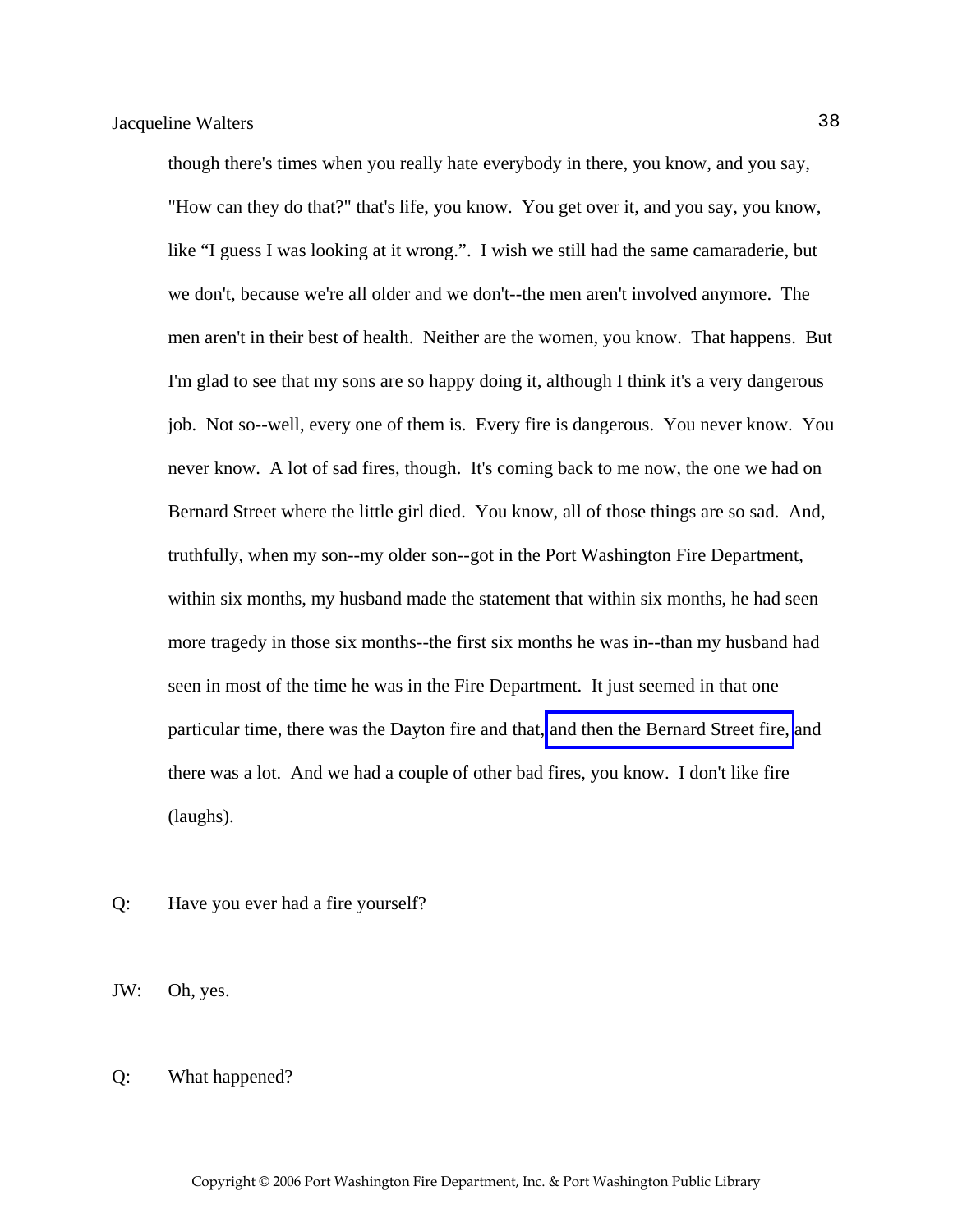though there's times when you really hate everybody in there, you know, and you say, "How can they do that?" that's life, you know. You get over it, and you say, you know, like "I guess I was looking at it wrong.". I wish we still had the same camaraderie, but we don't, because we're all older and we don't--the men aren't involved anymore. The men aren't in their best of health. Neither are the women, you know. That happens. But I'm glad to see that my sons are so happy doing it, although I think it's a very dangerous job. Not so--well, every one of them is. Every fire is dangerous. You never know. You never know. A lot of sad fires, though. It's coming back to me now, the one we had on Bernard Street where the little girl died. You know, all of those things are so sad. And, truthfully, when my son--my older son--got in the Port Washington Fire Department, within six months, my husband made the statement that within six months, he had seen more tragedy in those six months--the first six months he was in--than my husband had seen in most of the time he was in the Fire Department. It just seemed in that one particular time, there was the Dayton fire and that, [and then the Bernard Street fire,](http://www.pwfdhistory.com/trans/waltersjac_trans/news_bernardst01_960203.pdf) and there was a lot. And we had a couple of other bad fires, you know. I don't like fire (laughs).

- Q: Have you ever had a fire yourself?
- JW: Oh, yes.

#### Q: What happened?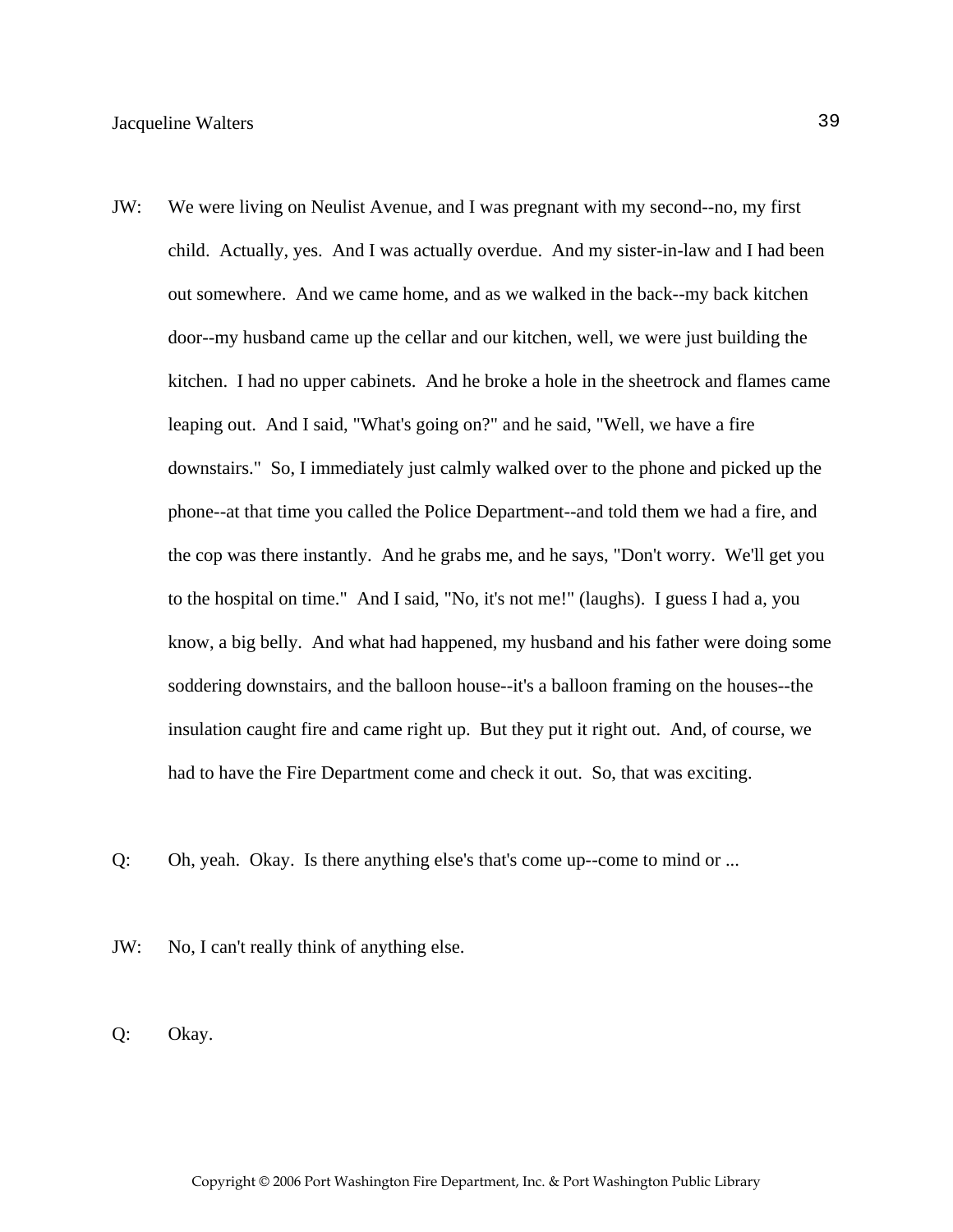- JW: We were living on Neulist Avenue, and I was pregnant with my second--no, my first child. Actually, yes. And I was actually overdue. And my sister-in-law and I had been out somewhere. And we came home, and as we walked in the back--my back kitchen door--my husband came up the cellar and our kitchen, well, we were just building the kitchen. I had no upper cabinets. And he broke a hole in the sheetrock and flames came leaping out. And I said, "What's going on?" and he said, "Well, we have a fire downstairs." So, I immediately just calmly walked over to the phone and picked up the phone--at that time you called the Police Department--and told them we had a fire, and the cop was there instantly. And he grabs me, and he says, "Don't worry. We'll get you to the hospital on time." And I said, "No, it's not me!" (laughs). I guess I had a, you know, a big belly. And what had happened, my husband and his father were doing some soddering downstairs, and the balloon house--it's a balloon framing on the houses--the insulation caught fire and came right up. But they put it right out. And, of course, we had to have the Fire Department come and check it out. So, that was exciting.
- Q: Oh, yeah. Okay. Is there anything else's that's come up--come to mind or ...
- JW: No, I can't really think of anything else.
- Q: Okay.